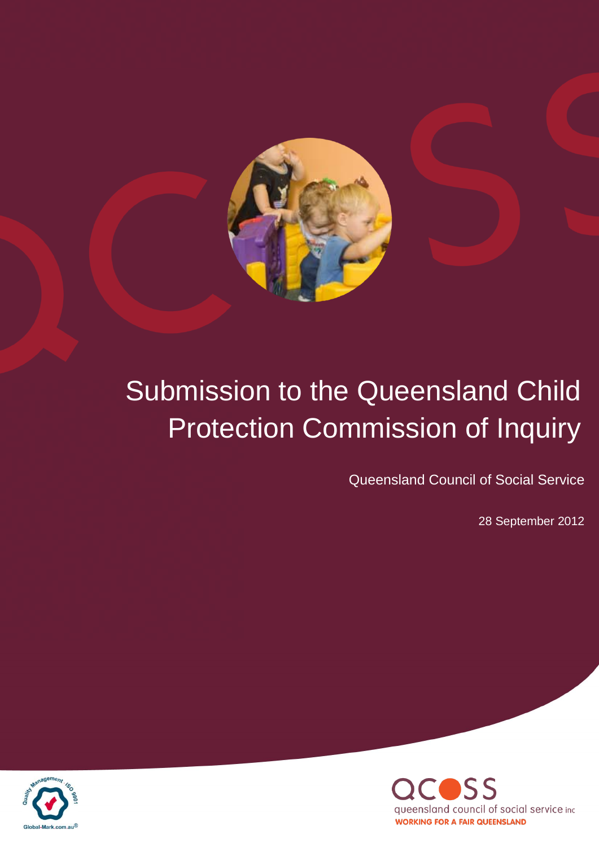

# Submission to the Queensland Child Protection Commission of Inquiry

Queensland Council of Social Service

28 September 2012



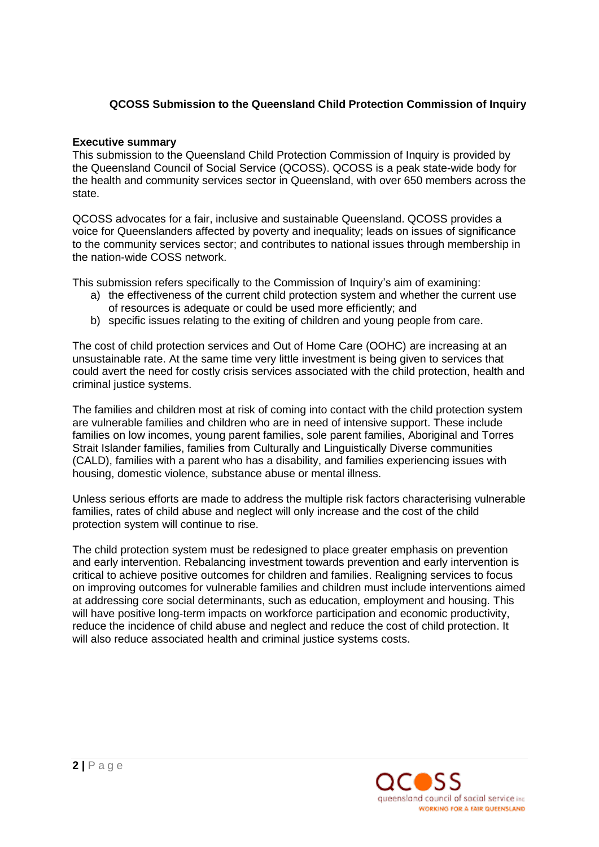# **QCOSS Submission to the Queensland Child Protection Commission of Inquiry**

# **Executive summary**

This submission to the Queensland Child Protection Commission of Inquiry is provided by the Queensland Council of Social Service (QCOSS). QCOSS is a peak state-wide body for the health and community services sector in Queensland, with over 650 members across the state.

QCOSS advocates for a fair, inclusive and sustainable Queensland. QCOSS provides a voice for Queenslanders affected by poverty and inequality; leads on issues of significance to the community services sector; and contributes to national issues through membership in the nation-wide COSS network.

This submission refers specifically to the Commission of Inquiry"s aim of examining:

- a) the effectiveness of the current child protection system and whether the current use of resources is adequate or could be used more efficiently; and
- b) specific issues relating to the exiting of children and young people from care.

The cost of child protection services and Out of Home Care (OOHC) are increasing at an unsustainable rate. At the same time very little investment is being given to services that could avert the need for costly crisis services associated with the child protection, health and criminal justice systems.

The families and children most at risk of coming into contact with the child protection system are vulnerable families and children who are in need of intensive support. These include families on low incomes, young parent families, sole parent families, Aboriginal and Torres Strait Islander families, families from Culturally and Linguistically Diverse communities (CALD), families with a parent who has a disability, and families experiencing issues with housing, domestic violence, substance abuse or mental illness.

Unless serious efforts are made to address the multiple risk factors characterising vulnerable families, rates of child abuse and neglect will only increase and the cost of the child protection system will continue to rise.

The child protection system must be redesigned to place greater emphasis on prevention and early intervention. Rebalancing investment towards prevention and early intervention is critical to achieve positive outcomes for children and families. Realigning services to focus on improving outcomes for vulnerable families and children must include interventions aimed at addressing core social determinants, such as education, employment and housing. This will have positive long-term impacts on workforce participation and economic productivity, reduce the incidence of child abuse and neglect and reduce the cost of child protection. It will also reduce associated health and criminal justice systems costs.

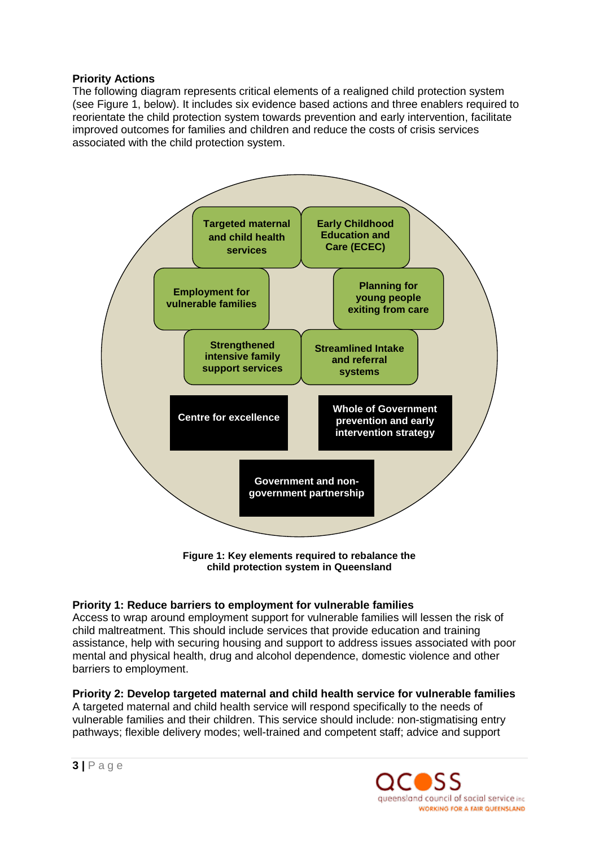# **Priority Actions**

The following diagram represents critical elements of a realigned child protection system (see Figure 1, below). It includes six evidence based actions and three enablers required to reorientate the child protection system towards prevention and early intervention, facilitate improved outcomes for families and children and reduce the costs of crisis services associated with the child protection system.



**Figure 1: Key elements required to rebalance the child protection system in Queensland**

# **Priority 1: Reduce barriers to employment for vulnerable families**

Access to wrap around employment support for vulnerable families will lessen the risk of child maltreatment. This should include services that provide education and training assistance, help with securing housing and support to address issues associated with poor mental and physical health, drug and alcohol dependence, domestic violence and other barriers to employment.

# **Priority 2: Develop targeted maternal and child health service for vulnerable families**

A targeted maternal and child health service will respond specifically to the needs of vulnerable families and their children. This service should include: non-stigmatising entry pathways; flexible delivery modes; well-trained and competent staff; advice and support

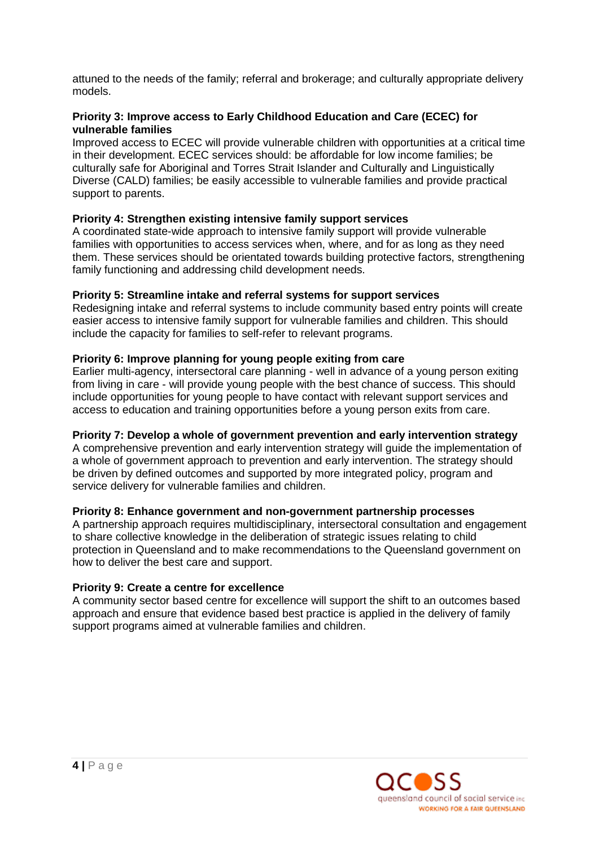attuned to the needs of the family; referral and brokerage; and culturally appropriate delivery models.

# **Priority 3: Improve access to Early Childhood Education and Care (ECEC) for vulnerable families**

Improved access to ECEC will provide vulnerable children with opportunities at a critical time in their development. ECEC services should: be affordable for low income families; be culturally safe for Aboriginal and Torres Strait Islander and Culturally and Linguistically Diverse (CALD) families; be easily accessible to vulnerable families and provide practical support to parents.

# **Priority 4: Strengthen existing intensive family support services**

A coordinated state-wide approach to intensive family support will provide vulnerable families with opportunities to access services when, where, and for as long as they need them. These services should be orientated towards building protective factors, strengthening family functioning and addressing child development needs.

# **Priority 5: Streamline intake and referral systems for support services**

Redesigning intake and referral systems to include community based entry points will create easier access to intensive family support for vulnerable families and children. This should include the capacity for families to self-refer to relevant programs.

# **Priority 6: Improve planning for young people exiting from care**

Earlier multi-agency, intersectoral care planning - well in advance of a young person exiting from living in care - will provide young people with the best chance of success. This should include opportunities for young people to have contact with relevant support services and access to education and training opportunities before a young person exits from care.

# **Priority 7: Develop a whole of government prevention and early intervention strategy**

A comprehensive prevention and early intervention strategy will guide the implementation of a whole of government approach to prevention and early intervention. The strategy should be driven by defined outcomes and supported by more integrated policy, program and service delivery for vulnerable families and children.

# **Priority 8: Enhance government and non-government partnership processes**

A partnership approach requires multidisciplinary, intersectoral consultation and engagement to share collective knowledge in the deliberation of strategic issues relating to child protection in Queensland and to make recommendations to the Queensland government on how to deliver the best care and support.

# **Priority 9: Create a centre for excellence**

A community sector based centre for excellence will support the shift to an outcomes based approach and ensure that evidence based best practice is applied in the delivery of family support programs aimed at vulnerable families and children.

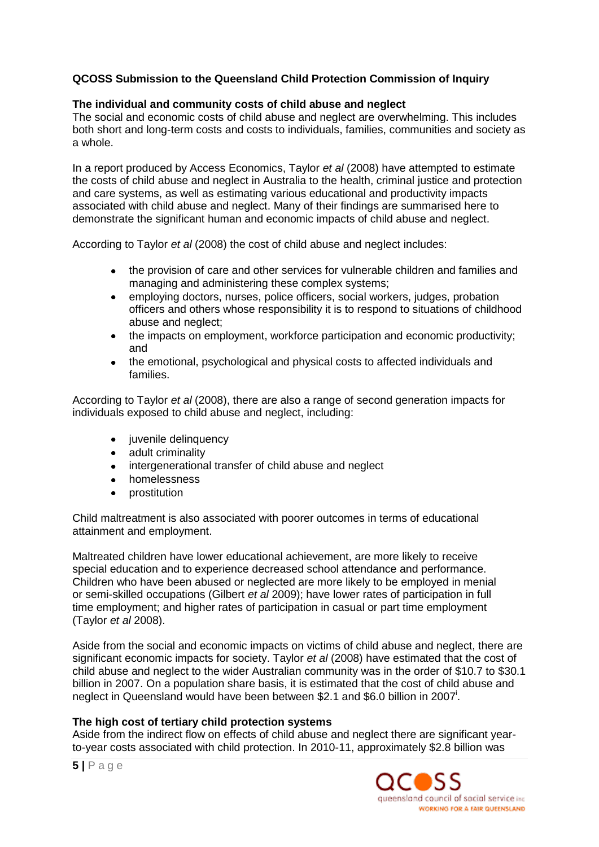# **QCOSS Submission to the Queensland Child Protection Commission of Inquiry**

## **The individual and community costs of child abuse and neglect**

The social and economic costs of child abuse and neglect are overwhelming. This includes both short and long-term costs and costs to individuals, families, communities and society as a whole.

In a report produced by Access Economics, Taylor *et al* (2008) have attempted to estimate the costs of child abuse and neglect in Australia to the health, criminal justice and protection and care systems, as well as estimating various educational and productivity impacts associated with child abuse and neglect. Many of their findings are summarised here to demonstrate the significant human and economic impacts of child abuse and neglect.

According to Taylor *et al* (2008) the cost of child abuse and neglect includes:

- the provision of care and other services for vulnerable children and families and managing and administering these complex systems;
- employing doctors, nurses, police officers, social workers, judges, probation  $\bullet$ officers and others whose responsibility it is to respond to situations of childhood abuse and neglect;
- the impacts on employment, workforce participation and economic productivity; and
- the emotional, psychological and physical costs to affected individuals and  $\bullet$ families.

According to Taylor *et al* (2008), there are also a range of second generation impacts for individuals exposed to child abuse and neglect, including:

- juvenile delinquency
- adult criminality
- $\bullet$ intergenerational transfer of child abuse and neglect
- $\bullet$ homelessness
- prostitution

Child maltreatment is also associated with poorer outcomes in terms of educational attainment and employment.

Maltreated children have lower educational achievement, are more likely to receive special education and to experience decreased school attendance and performance. Children who have been abused or neglected are more likely to be employed in menial or semi-skilled occupations (Gilbert *et al* 2009); have lower rates of participation in full time employment; and higher rates of participation in casual or part time employment (Taylor *et al* 2008).

Aside from the social and economic impacts on victims of child abuse and neglect, there are significant economic impacts for society. Taylor *et al* (2008) have estimated that the cost of child abuse and neglect to the wider Australian community was in the order of \$10.7 to \$30.1 billion in 2007. On a population share basis, it is estimated that the cost of child abuse and neglect in Queensland would have been between \$2.1 and \$6.0 billion in 2007<sup>i</sup>.

# **The high cost of tertiary child protection systems**

Aside from the indirect flow on effects of child abuse and neglect there are significant yearto-year costs associated with child protection. In 2010-11, approximately \$2.8 billion was

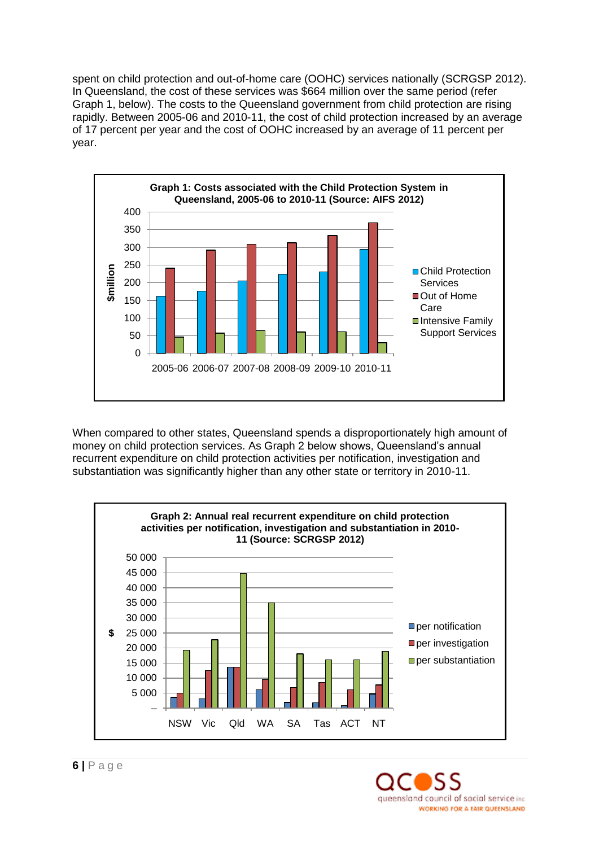spent on child protection and out-of-home care (OOHC) services nationally (SCRGSP 2012). In Queensland, the cost of these services was \$664 million over the same period (refer Graph 1, below). The costs to the Queensland government from child protection are rising rapidly. Between 2005-06 and 2010-11, the cost of child protection increased by an average of 17 percent per year and the cost of OOHC increased by an average of 11 percent per year.



When compared to other states, Queensland spends a disproportionately high amount of money on child protection services. As Graph 2 below shows, Queensland"s annual recurrent expenditure on child protection activities per notification, investigation and substantiation was significantly higher than any other state or territory in 2010-11.



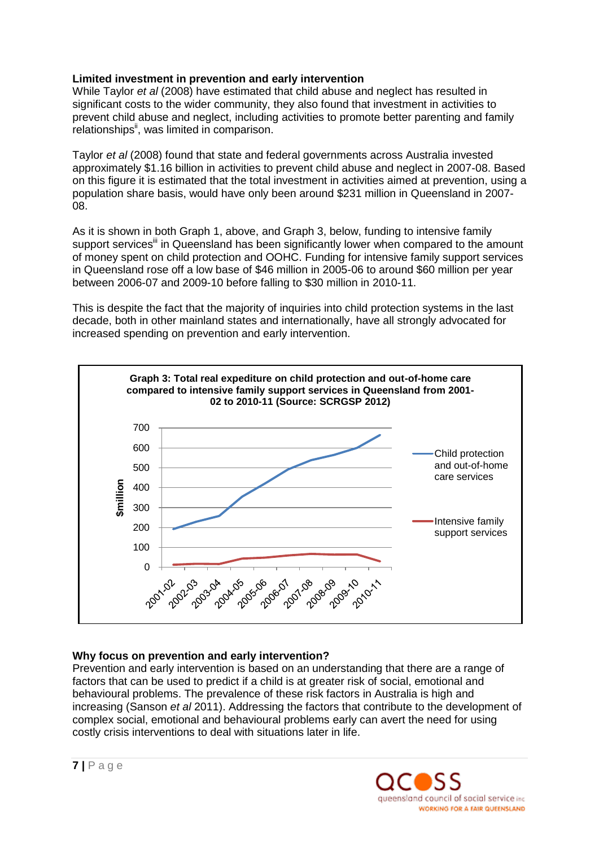# **Limited investment in prevention and early intervention**

While Taylor *et al* (2008) have estimated that child abuse and neglect has resulted in significant costs to the wider community, they also found that investment in activities to prevent child abuse and neglect, including activities to promote better parenting and family relationships<sup>ii</sup>, was limited in comparison.

Taylor *et al* (2008) found that state and federal governments across Australia invested approximately \$1.16 billion in activities to prevent child abuse and neglect in 2007-08. Based on this figure it is estimated that the total investment in activities aimed at prevention, using a population share basis, would have only been around \$231 million in Queensland in 2007- 08.

As it is shown in both Graph 1, above, and Graph 3, below, funding to intensive family support services<sup>iii</sup> in Queensland has been significantly lower when compared to the amount of money spent on child protection and OOHC. Funding for intensive family support services in Queensland rose off a low base of \$46 million in 2005-06 to around \$60 million per year between 2006-07 and 2009-10 before falling to \$30 million in 2010-11.

This is despite the fact that the majority of inquiries into child protection systems in the last decade, both in other mainland states and internationally, have all strongly advocated for increased spending on prevention and early intervention.



# **Why focus on prevention and early intervention?**

Prevention and early intervention is based on an understanding that there are a range of factors that can be used to predict if a child is at greater risk of social, emotional and behavioural problems. The prevalence of these risk factors in Australia is high and increasing (Sanson *et al* 2011). Addressing the factors that contribute to the development of complex social, emotional and behavioural problems early can avert the need for using costly crisis interventions to deal with situations later in life.

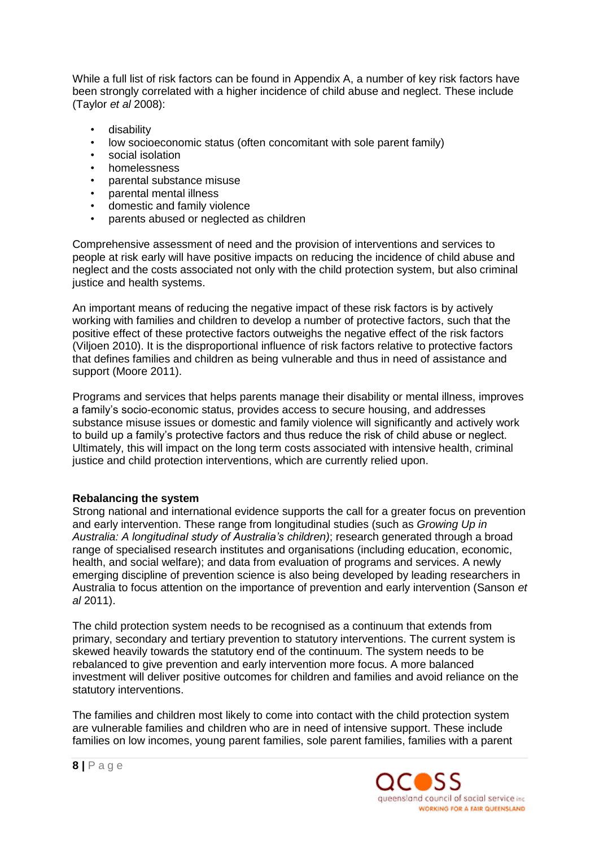While a full list of risk factors can be found in Appendix A, a number of key risk factors have been strongly correlated with a higher incidence of child abuse and neglect. These include (Taylor *et al* 2008):

- disability
- low socioeconomic status (often concomitant with sole parent family)
- social isolation
- homelessness
- parental substance misuse
- parental mental illness
- domestic and family violence
- parents abused or neglected as children

Comprehensive assessment of need and the provision of interventions and services to people at risk early will have positive impacts on reducing the incidence of child abuse and neglect and the costs associated not only with the child protection system, but also criminal justice and health systems.

An important means of reducing the negative impact of these risk factors is by actively working with families and children to develop a number of protective factors, such that the positive effect of these protective factors outweighs the negative effect of the risk factors (Viljoen 2010). It is the disproportional influence of risk factors relative to protective factors that defines families and children as being vulnerable and thus in need of assistance and support (Moore 2011).

Programs and services that helps parents manage their disability or mental illness, improves a family"s socio-economic status, provides access to secure housing, and addresses substance misuse issues or domestic and family violence will significantly and actively work to build up a family"s protective factors and thus reduce the risk of child abuse or neglect. Ultimately, this will impact on the long term costs associated with intensive health, criminal justice and child protection interventions, which are currently relied upon.

# **Rebalancing the system**

Strong national and international evidence supports the call for a greater focus on prevention and early intervention. These range from longitudinal studies (such as *Growing Up in Australia: A longitudinal study of Australia's children)*; research generated through a broad range of specialised research institutes and organisations (including education, economic, health, and social welfare); and data from evaluation of programs and services. A newly emerging discipline of prevention science is also being developed by leading researchers in Australia to focus attention on the importance of prevention and early intervention (Sanson *et al* 2011).

The child protection system needs to be recognised as a continuum that extends from primary, secondary and tertiary prevention to statutory interventions. The current system is skewed heavily towards the statutory end of the continuum. The system needs to be rebalanced to give prevention and early intervention more focus. A more balanced investment will deliver positive outcomes for children and families and avoid reliance on the statutory interventions.

The families and children most likely to come into contact with the child protection system are vulnerable families and children who are in need of intensive support. These include families on low incomes, young parent families, sole parent families, families with a parent

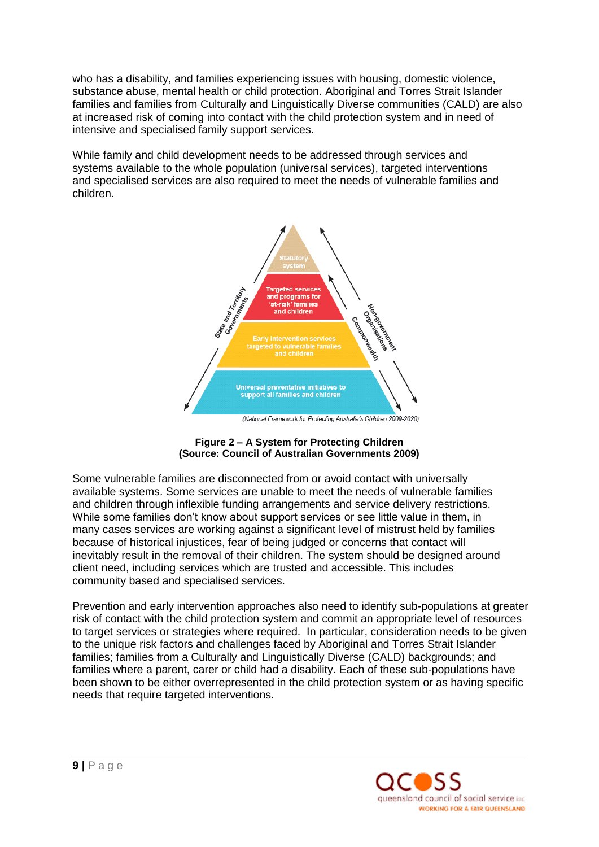who has a disability, and families experiencing issues with housing, domestic violence, substance abuse, mental health or child protection. Aboriginal and Torres Strait Islander families and families from Culturally and Linguistically Diverse communities (CALD) are also at increased risk of coming into contact with the child protection system and in need of intensive and specialised family support services.

While family and child development needs to be addressed through services and systems available to the whole population (universal services), targeted interventions and specialised services are also required to meet the needs of vulnerable families and children.



#### **Figure 2 – A System for Protecting Children (Source: Council of Australian Governments 2009)**

Some vulnerable families are disconnected from or avoid contact with universally available systems. Some services are unable to meet the needs of vulnerable families and children through inflexible funding arrangements and service delivery restrictions. While some families don"t know about support services or see little value in them, in many cases services are working against a significant level of mistrust held by families because of historical injustices, fear of being judged or concerns that contact will inevitably result in the removal of their children. The system should be designed around client need, including services which are trusted and accessible. This includes community based and specialised services.

Prevention and early intervention approaches also need to identify sub-populations at greater risk of contact with the child protection system and commit an appropriate level of resources to target services or strategies where required. In particular, consideration needs to be given to the unique risk factors and challenges faced by Aboriginal and Torres Strait Islander families; families from a Culturally and Linguistically Diverse (CALD) backgrounds; and families where a parent, carer or child had a disability. Each of these sub-populations have been shown to be either overrepresented in the child protection system or as having specific needs that require targeted interventions.

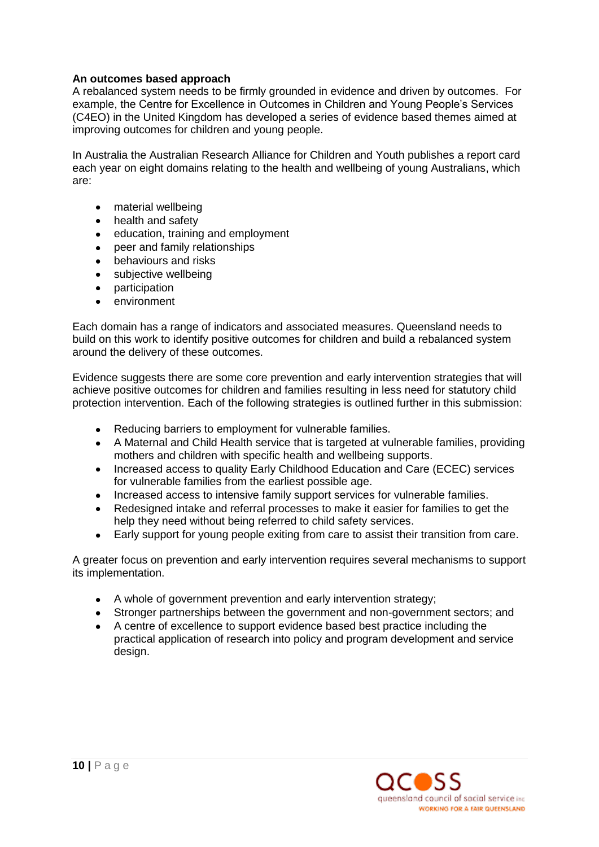# **An outcomes based approach**

A rebalanced system needs to be firmly grounded in evidence and driven by outcomes. For example, the Centre for Excellence in Outcomes in Children and Young People"s Services (C4EO) in the United Kingdom has developed a series of evidence based themes aimed at improving outcomes for children and young people.

In Australia the Australian Research Alliance for Children and Youth publishes a report card each year on eight domains relating to the health and wellbeing of young Australians, which are:

- material wellbeing
- $\bullet$ health and safety
- education, training and employment
- peer and family relationships  $\bullet$
- $\bullet$ behaviours and risks
- subjective wellbeing
- participation
- environment

Each domain has a range of indicators and associated measures. Queensland needs to build on this work to identify positive outcomes for children and build a rebalanced system around the delivery of these outcomes.

Evidence suggests there are some core prevention and early intervention strategies that will achieve positive outcomes for children and families resulting in less need for statutory child protection intervention. Each of the following strategies is outlined further in this submission:

- Reducing barriers to employment for vulnerable families.  $\bullet$
- A Maternal and Child Health service that is targeted at vulnerable families, providing mothers and children with specific health and wellbeing supports.
- Increased access to quality Early Childhood Education and Care (ECEC) services  $\bullet$ for vulnerable families from the earliest possible age.
- Increased access to intensive family support services for vulnerable families.
- Redesigned intake and referral processes to make it easier for families to get the help they need without being referred to child safety services.
- Early support for young people exiting from care to assist their transition from care.

A greater focus on prevention and early intervention requires several mechanisms to support its implementation.

- A whole of government prevention and early intervention strategy;
- Stronger partnerships between the government and non-government sectors; and
- A centre of excellence to support evidence based best practice including the practical application of research into policy and program development and service design.

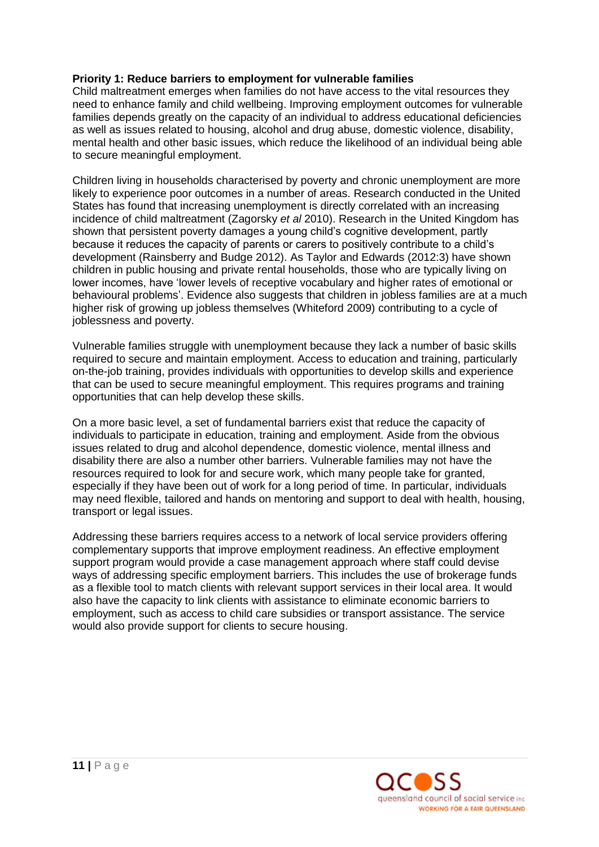# **Priority 1: Reduce barriers to employment for vulnerable families**

Child maltreatment emerges when families do not have access to the vital resources they need to enhance family and child wellbeing. Improving employment outcomes for vulnerable families depends greatly on the capacity of an individual to address educational deficiencies as well as issues related to housing, alcohol and drug abuse, domestic violence, disability, mental health and other basic issues, which reduce the likelihood of an individual being able to secure meaningful employment.

Children living in households characterised by poverty and chronic unemployment are more likely to experience poor outcomes in a number of areas. Research conducted in the United States has found that increasing unemployment is directly correlated with an increasing incidence of child maltreatment (Zagorsky *et al* 2010). Research in the United Kingdom has shown that persistent poverty damages a young child"s cognitive development, partly because it reduces the capacity of parents or carers to positively contribute to a child"s development (Rainsberry and Budge 2012). As Taylor and Edwards (2012:3) have shown children in public housing and private rental households, those who are typically living on lower incomes, have "lower levels of receptive vocabulary and higher rates of emotional or behavioural problems'. Evidence also suggests that children in jobless families are at a much higher risk of growing up jobless themselves (Whiteford 2009) contributing to a cycle of joblessness and poverty.

Vulnerable families struggle with unemployment because they lack a number of basic skills required to secure and maintain employment. Access to education and training, particularly on-the-job training, provides individuals with opportunities to develop skills and experience that can be used to secure meaningful employment. This requires programs and training opportunities that can help develop these skills.

On a more basic level, a set of fundamental barriers exist that reduce the capacity of individuals to participate in education, training and employment. Aside from the obvious issues related to drug and alcohol dependence, domestic violence, mental illness and disability there are also a number other barriers. Vulnerable families may not have the resources required to look for and secure work, which many people take for granted, especially if they have been out of work for a long period of time. In particular, individuals may need flexible, tailored and hands on mentoring and support to deal with health, housing, transport or legal issues.

Addressing these barriers requires access to a network of local service providers offering complementary supports that improve employment readiness. An effective employment support program would provide a case management approach where staff could devise ways of addressing specific employment barriers. This includes the use of brokerage funds as a flexible tool to match clients with relevant support services in their local area. It would also have the capacity to link clients with assistance to eliminate economic barriers to employment, such as access to child care subsidies or transport assistance. The service would also provide support for clients to secure housing.

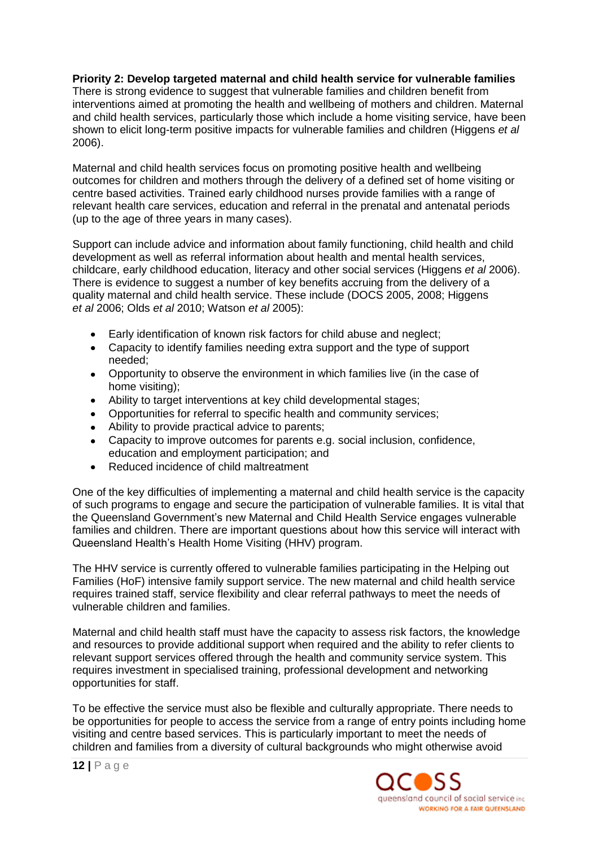# **Priority 2: Develop targeted maternal and child health service for vulnerable families**

There is strong evidence to suggest that vulnerable families and children benefit from interventions aimed at promoting the health and wellbeing of mothers and children. Maternal and child health services, particularly those which include a home visiting service, have been shown to elicit long-term positive impacts for vulnerable families and children (Higgens *et al* 2006).

Maternal and child health services focus on promoting positive health and wellbeing outcomes for children and mothers through the delivery of a defined set of home visiting or centre based activities. Trained early childhood nurses provide families with a range of relevant health care services, education and referral in the prenatal and antenatal periods (up to the age of three years in many cases).

Support can include advice and information about family functioning, child health and child development as well as referral information about health and mental health services, childcare, early childhood education, literacy and other social services (Higgens *et al* 2006). There is evidence to suggest a number of key benefits accruing from the delivery of a quality maternal and child health service. These include (DOCS 2005, 2008; Higgens *et al* 2006; Olds *et al* 2010; Watson *et al* 2005):

- $\bullet$ Early identification of known risk factors for child abuse and neglect;
- Capacity to identify families needing extra support and the type of support needed;
- Opportunity to observe the environment in which families live (in the case of home visiting);
- Ability to target interventions at key child developmental stages;
- Opportunities for referral to specific health and community services;
- Ability to provide practical advice to parents;
- Capacity to improve outcomes for parents e.g. social inclusion, confidence, education and employment participation; and
- $\bullet$ Reduced incidence of child maltreatment

One of the key difficulties of implementing a maternal and child health service is the capacity of such programs to engage and secure the participation of vulnerable families. It is vital that the Queensland Government"s new Maternal and Child Health Service engages vulnerable families and children. There are important questions about how this service will interact with Queensland Health"s Health Home Visiting (HHV) program.

The HHV service is currently offered to vulnerable families participating in the Helping out Families (HoF) intensive family support service. The new maternal and child health service requires trained staff, service flexibility and clear referral pathways to meet the needs of vulnerable children and families.

Maternal and child health staff must have the capacity to assess risk factors, the knowledge and resources to provide additional support when required and the ability to refer clients to relevant support services offered through the health and community service system. This requires investment in specialised training, professional development and networking opportunities for staff.

To be effective the service must also be flexible and culturally appropriate. There needs to be opportunities for people to access the service from a range of entry points including home visiting and centre based services. This is particularly important to meet the needs of children and families from a diversity of cultural backgrounds who might otherwise avoid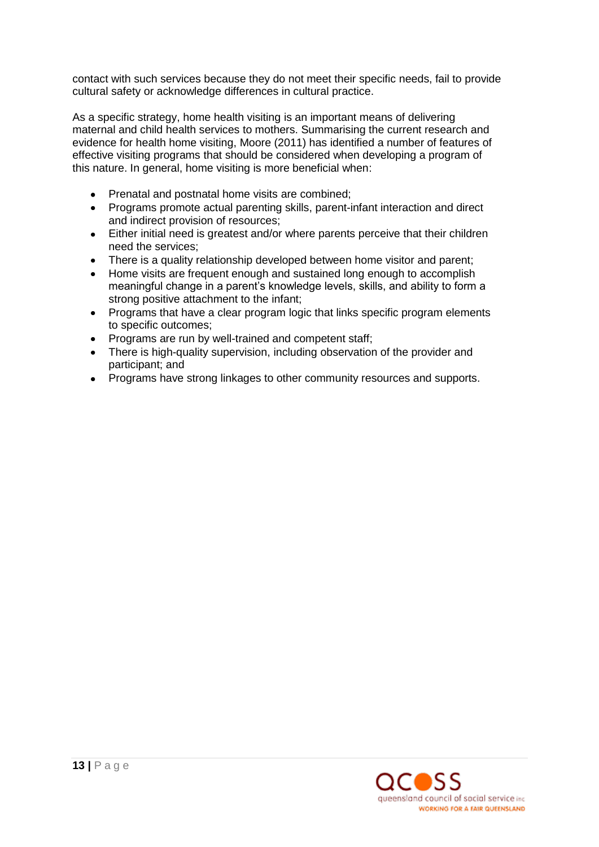contact with such services because they do not meet their specific needs, fail to provide cultural safety or acknowledge differences in cultural practice.

As a specific strategy, home health visiting is an important means of delivering maternal and child health services to mothers. Summarising the current research and evidence for health home visiting, Moore (2011) has identified a number of features of effective visiting programs that should be considered when developing a program of this nature. In general, home visiting is more beneficial when:

- Prenatal and postnatal home visits are combined;  $\bullet$
- Programs promote actual parenting skills, parent-infant interaction and direct and indirect provision of resources;
- Either initial need is greatest and/or where parents perceive that their children  $\bullet$ need the services;
- There is a quality relationship developed between home visitor and parent;
- Home visits are frequent enough and sustained long enough to accomplish meaningful change in a parent"s knowledge levels, skills, and ability to form a strong positive attachment to the infant;
- Programs that have a clear program logic that links specific program elements  $\bullet$ to specific outcomes;
- Programs are run by well-trained and competent staff;
- There is high-quality supervision, including observation of the provider and participant; and
- Programs have strong linkages to other community resources and supports.

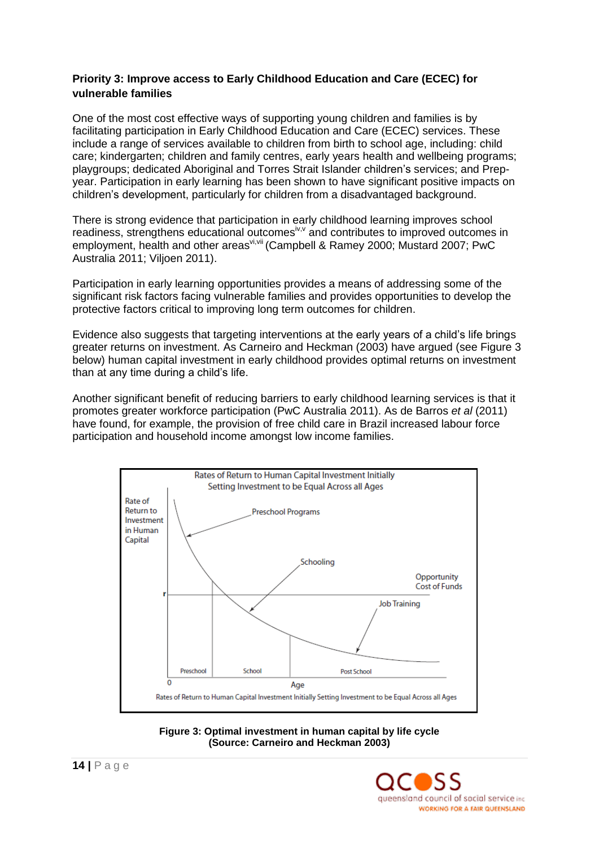# **Priority 3: Improve access to Early Childhood Education and Care (ECEC) for vulnerable families**

One of the most cost effective ways of supporting young children and families is by facilitating participation in Early Childhood Education and Care (ECEC) services. These include a range of services available to children from birth to school age, including: child care; kindergarten; children and family centres, early years health and wellbeing programs; playgroups; dedicated Aboriginal and Torres Strait Islander children"s services; and Prepyear. Participation in early learning has been shown to have significant positive impacts on children"s development, particularly for children from a disadvantaged background.

There is strong evidence that participation in early childhood learning improves school readiness, strengthens educational outcomes<sup>iv, v</sup> and contributes to improved outcomes in employment, health and other areas<sup>vi, vii</sup> (Campbell & Ramey 2000; Mustard 2007; PwC Australia 2011; Viljoen 2011).

Participation in early learning opportunities provides a means of addressing some of the significant risk factors facing vulnerable families and provides opportunities to develop the protective factors critical to improving long term outcomes for children.

Evidence also suggests that targeting interventions at the early years of a child"s life brings greater returns on investment. As Carneiro and Heckman (2003) have argued (see Figure 3 below) human capital investment in early childhood provides optimal returns on investment than at any time during a child"s life.

Another significant benefit of reducing barriers to early childhood learning services is that it promotes greater workforce participation (PwC Australia 2011). As de Barros *et al* (2011) have found, for example, the provision of free child care in Brazil increased labour force participation and household income amongst low income families.



**Figure 3: Optimal investment in human capital by life cycle (Source: Carneiro and Heckman 2003)**

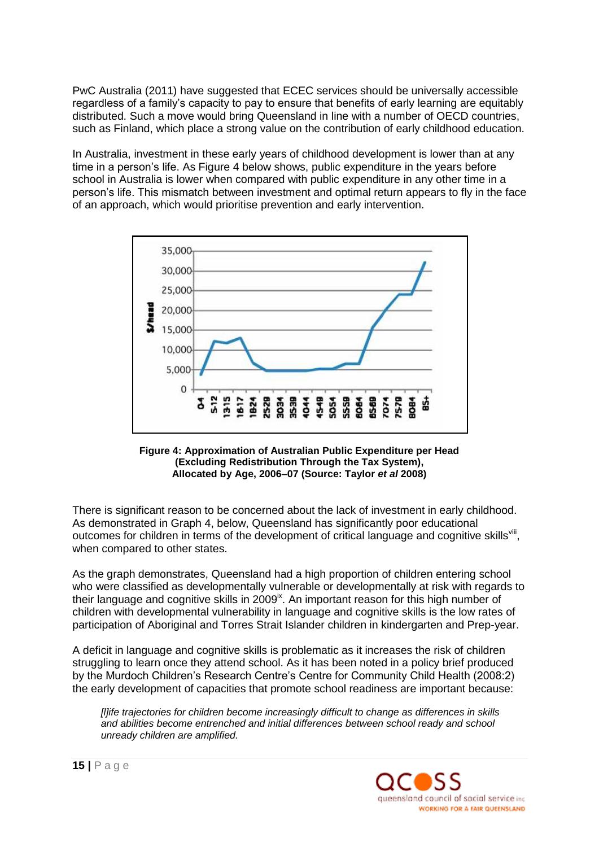PwC Australia (2011) have suggested that ECEC services should be universally accessible regardless of a family"s capacity to pay to ensure that benefits of early learning are equitably distributed. Such a move would bring Queensland in line with a number of OECD countries, such as Finland, which place a strong value on the contribution of early childhood education.

In Australia, investment in these early years of childhood development is lower than at any time in a person"s life. As Figure 4 below shows, public expenditure in the years before school in Australia is lower when compared with public expenditure in any other time in a person"s life. This mismatch between investment and optimal return appears to fly in the face of an approach, which would prioritise prevention and early intervention.



#### **Figure 4: Approximation of Australian Public Expenditure per Head (Excluding Redistribution Through the Tax System), Allocated by Age, 2006–07 (Source: Taylor** *et al* **2008)**

There is significant reason to be concerned about the lack of investment in early childhood. As demonstrated in Graph 4, below, Queensland has significantly poor educational outcomes for children in terms of the development of critical language and cognitive skills<sup>vili</sup>, when compared to other states.

As the graph demonstrates, Queensland had a high proportion of children entering school who were classified as developmentally vulnerable or developmentally at risk with regards to their language and cognitive skills in  $2009<sup>k</sup>$ . An important reason for this high number of children with developmental vulnerability in language and cognitive skills is the low rates of participation of Aboriginal and Torres Strait Islander children in kindergarten and Prep-year.

A deficit in language and cognitive skills is problematic as it increases the risk of children struggling to learn once they attend school. As it has been noted in a policy brief produced by the Murdoch Children"s Research Centre"s Centre for Community Child Health (2008:2) the early development of capacities that promote school readiness are important because:

*[l]ife trajectories for children become increasingly difficult to change as differences in skills and abilities become entrenched and initial differences between school ready and school unready children are amplified.*

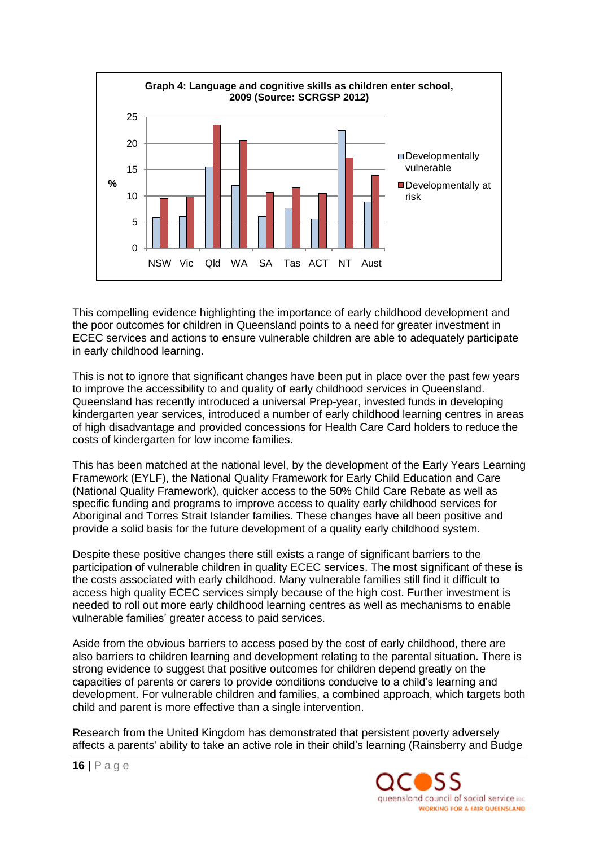

This compelling evidence highlighting the importance of early childhood development and the poor outcomes for children in Queensland points to a need for greater investment in ECEC services and actions to ensure vulnerable children are able to adequately participate in early childhood learning.

This is not to ignore that significant changes have been put in place over the past few years to improve the accessibility to and quality of early childhood services in Queensland. Queensland has recently introduced a universal Prep-year, invested funds in developing kindergarten year services, introduced a number of early childhood learning centres in areas of high disadvantage and provided concessions for Health Care Card holders to reduce the costs of kindergarten for low income families.

This has been matched at the national level, by the development of the Early Years Learning Framework (EYLF), the National Quality Framework for Early Child Education and Care (National Quality Framework), quicker access to the 50% Child Care Rebate as well as specific funding and programs to improve access to quality early childhood services for Aboriginal and Torres Strait Islander families. These changes have all been positive and provide a solid basis for the future development of a quality early childhood system.

Despite these positive changes there still exists a range of significant barriers to the participation of vulnerable children in quality ECEC services. The most significant of these is the costs associated with early childhood. Many vulnerable families still find it difficult to access high quality ECEC services simply because of the high cost. Further investment is needed to roll out more early childhood learning centres as well as mechanisms to enable vulnerable families" greater access to paid services.

Aside from the obvious barriers to access posed by the cost of early childhood, there are also barriers to children learning and development relating to the parental situation. There is strong evidence to suggest that positive outcomes for children depend greatly on the capacities of parents or carers to provide conditions conducive to a child"s learning and development. For vulnerable children and families, a combined approach, which targets both child and parent is more effective than a single intervention.

Research from the United Kingdom has demonstrated that persistent poverty adversely affects a parents' ability to take an active role in their child"s learning (Rainsberry and Budge

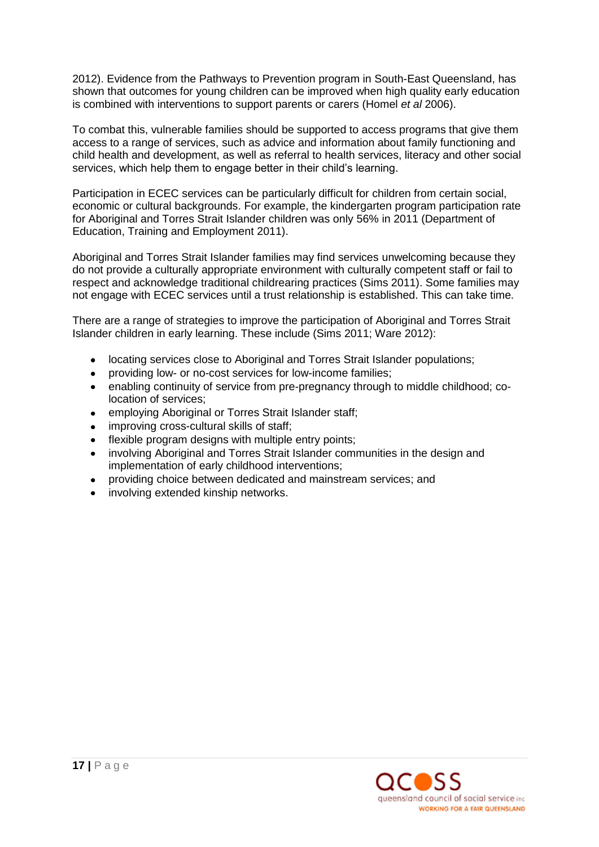2012). Evidence from the Pathways to Prevention program in South-East Queensland, has shown that outcomes for young children can be improved when high quality early education is combined with interventions to support parents or carers (Homel *et al* 2006).

To combat this, vulnerable families should be supported to access programs that give them access to a range of services, such as advice and information about family functioning and child health and development, as well as referral to health services, literacy and other social services, which help them to engage better in their child's learning.

Participation in ECEC services can be particularly difficult for children from certain social, economic or cultural backgrounds. For example, the kindergarten program participation rate for Aboriginal and Torres Strait Islander children was only 56% in 2011 (Department of Education, Training and Employment 2011).

Aboriginal and Torres Strait Islander families may find services unwelcoming because they do not provide a culturally appropriate environment with culturally competent staff or fail to respect and acknowledge traditional childrearing practices (Sims 2011). Some families may not engage with ECEC services until a trust relationship is established. This can take time.

There are a range of strategies to improve the participation of Aboriginal and Torres Strait Islander children in early learning. These include (Sims 2011; Ware 2012):

- locating services close to Aboriginal and Torres Strait Islander populations;  $\bullet$
- providing low- or no-cost services for low-income families;  $\bullet$
- enabling continuity of service from pre-pregnancy through to middle childhood; co- $\bullet$ location of services;
- employing Aboriginal or Torres Strait Islander staff;  $\bullet$
- improving cross-cultural skills of staff;
- flexible program designs with multiple entry points;
- involving Aboriginal and Torres Strait Islander communities in the design and  $\bullet$ implementation of early childhood interventions;
- providing choice between dedicated and mainstream services; and
- involving extended kinship networks.

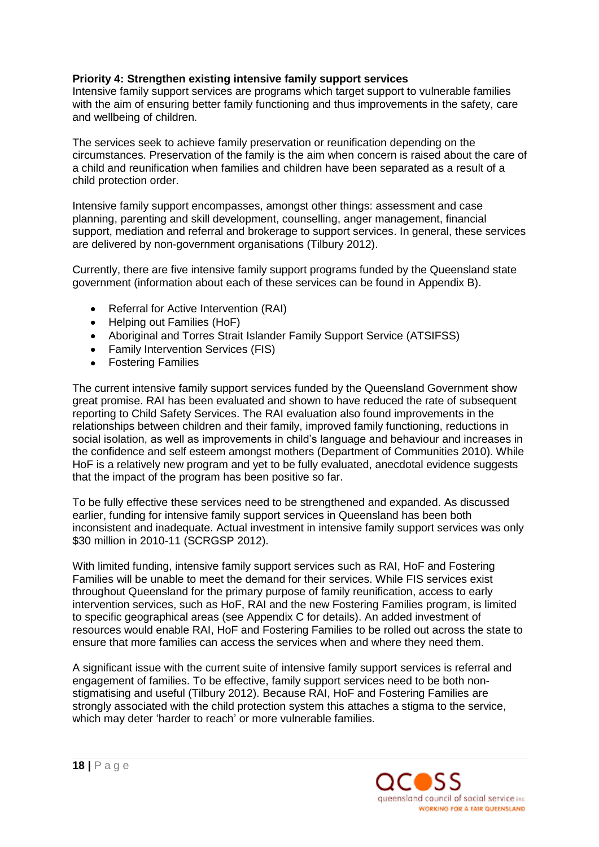# **Priority 4: Strengthen existing intensive family support services**

Intensive family support services are programs which target support to vulnerable families with the aim of ensuring better family functioning and thus improvements in the safety, care and wellbeing of children.

The services seek to achieve family preservation or reunification depending on the circumstances. Preservation of the family is the aim when concern is raised about the care of a child and reunification when families and children have been separated as a result of a child protection order.

Intensive family support encompasses, amongst other things: assessment and case planning, parenting and skill development, counselling, anger management, financial support, mediation and referral and brokerage to support services. In general, these services are delivered by non-government organisations (Tilbury 2012).

Currently, there are five intensive family support programs funded by the Queensland state government (information about each of these services can be found in Appendix B).

- Referral for Active Intervention (RAI)  $\bullet$
- Helping out Families (HoF)
- Aboriginal and Torres Strait Islander Family Support Service (ATSIFSS)
- Family Intervention Services (FIS)
- Fostering Families

The current intensive family support services funded by the Queensland Government show great promise. RAI has been evaluated and shown to have reduced the rate of subsequent reporting to Child Safety Services. The RAI evaluation also found improvements in the relationships between children and their family, improved family functioning, reductions in social isolation, as well as improvements in child"s language and behaviour and increases in the confidence and self esteem amongst mothers (Department of Communities 2010). While HoF is a relatively new program and yet to be fully evaluated, anecdotal evidence suggests that the impact of the program has been positive so far.

To be fully effective these services need to be strengthened and expanded. As discussed earlier, funding for intensive family support services in Queensland has been both inconsistent and inadequate. Actual investment in intensive family support services was only \$30 million in 2010-11 (SCRGSP 2012).

With limited funding, intensive family support services such as RAI, HoF and Fostering Families will be unable to meet the demand for their services. While FIS services exist throughout Queensland for the primary purpose of family reunification, access to early intervention services, such as HoF, RAI and the new Fostering Families program, is limited to specific geographical areas (see Appendix C for details). An added investment of resources would enable RAI, HoF and Fostering Families to be rolled out across the state to ensure that more families can access the services when and where they need them.

A significant issue with the current suite of intensive family support services is referral and engagement of families. To be effective, family support services need to be both nonstigmatising and useful (Tilbury 2012). Because RAI, HoF and Fostering Families are strongly associated with the child protection system this attaches a stigma to the service, which may deter 'harder to reach' or more vulnerable families.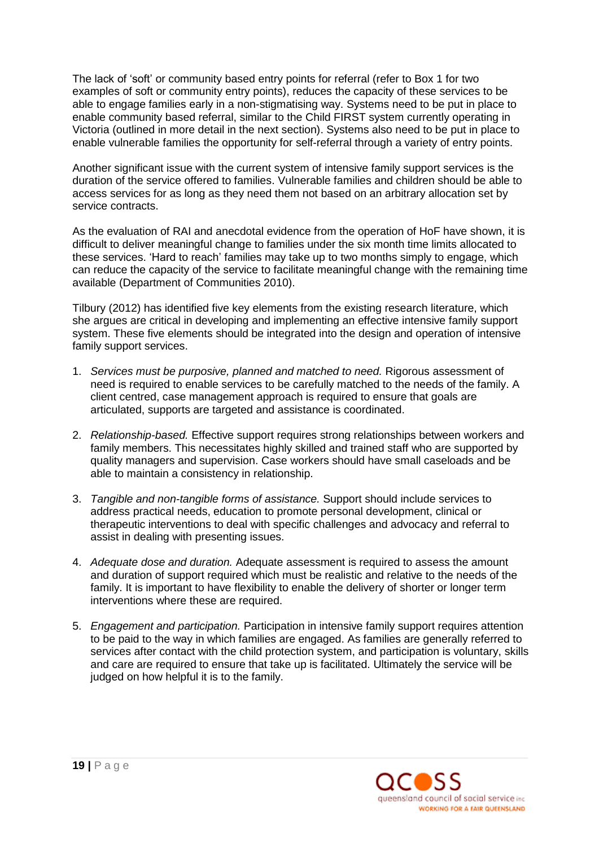The lack of "soft" or community based entry points for referral (refer to Box 1 for two examples of soft or community entry points), reduces the capacity of these services to be able to engage families early in a non-stigmatising way. Systems need to be put in place to enable community based referral, similar to the Child FIRST system currently operating in Victoria (outlined in more detail in the next section). Systems also need to be put in place to enable vulnerable families the opportunity for self-referral through a variety of entry points.

Another significant issue with the current system of intensive family support services is the duration of the service offered to families. Vulnerable families and children should be able to access services for as long as they need them not based on an arbitrary allocation set by service contracts.

As the evaluation of RAI and anecdotal evidence from the operation of HoF have shown, it is difficult to deliver meaningful change to families under the six month time limits allocated to these services. "Hard to reach" families may take up to two months simply to engage, which can reduce the capacity of the service to facilitate meaningful change with the remaining time available (Department of Communities 2010).

Tilbury (2012) has identified five key elements from the existing research literature, which she argues are critical in developing and implementing an effective intensive family support system. These five elements should be integrated into the design and operation of intensive family support services.

- 1. *Services must be purposive, planned and matched to need.* Rigorous assessment of need is required to enable services to be carefully matched to the needs of the family. A client centred, case management approach is required to ensure that goals are articulated, supports are targeted and assistance is coordinated.
- 2. *Relationship-based.* Effective support requires strong relationships between workers and family members. This necessitates highly skilled and trained staff who are supported by quality managers and supervision. Case workers should have small caseloads and be able to maintain a consistency in relationship.
- 3. *Tangible and non-tangible forms of assistance.* Support should include services to address practical needs, education to promote personal development, clinical or therapeutic interventions to deal with specific challenges and advocacy and referral to assist in dealing with presenting issues.
- 4. *Adequate dose and duration.* Adequate assessment is required to assess the amount and duration of support required which must be realistic and relative to the needs of the family. It is important to have flexibility to enable the delivery of shorter or longer term interventions where these are required.
- 5. *Engagement and participation.* Participation in intensive family support requires attention to be paid to the way in which families are engaged. As families are generally referred to services after contact with the child protection system, and participation is voluntary, skills and care are required to ensure that take up is facilitated. Ultimately the service will be judged on how helpful it is to the family.

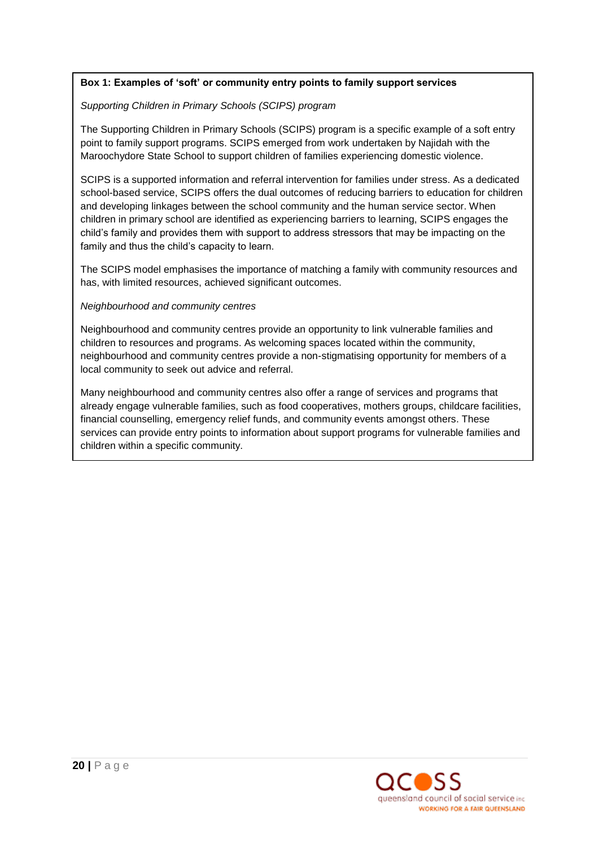# **Box 1: Examples of 'soft' or community entry points to family support services**

#### *Supporting Children in Primary Schools (SCIPS) program*

The Supporting Children in Primary Schools (SCIPS) program is a specific example of a soft entry point to family support programs. SCIPS emerged from work undertaken by Najidah with the Maroochydore State School to support children of families experiencing domestic violence.

SCIPS is a supported information and referral intervention for families under stress. As a dedicated school-based service, SCIPS offers the dual outcomes of reducing barriers to education for children and developing linkages between the school community and the human service sector. When children in primary school are identified as experiencing barriers to learning, SCIPS engages the child"s family and provides them with support to address stressors that may be impacting on the family and thus the child's capacity to learn.

The SCIPS model emphasises the importance of matching a family with community resources and has, with limited resources, achieved significant outcomes.

#### *Neighbourhood and community centres*

Neighbourhood and community centres provide an opportunity to link vulnerable families and children to resources and programs. As welcoming spaces located within the community, neighbourhood and community centres provide a non-stigmatising opportunity for members of a local community to seek out advice and referral.

Many neighbourhood and community centres also offer a range of services and programs that already engage vulnerable families, such as food cooperatives, mothers groups, childcare facilities, financial counselling, emergency relief funds, and community events amongst others. These services can provide entry points to information about support programs for vulnerable families and children within a specific community.

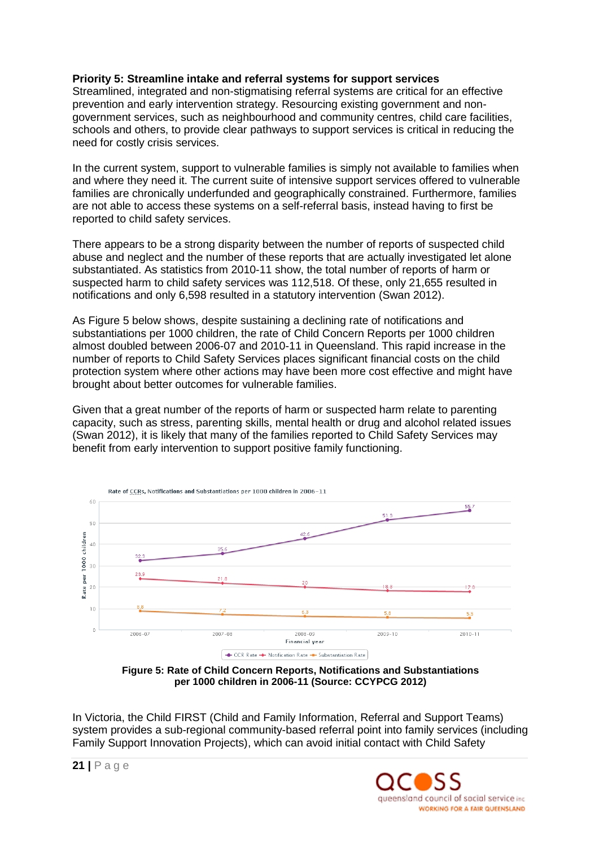# **Priority 5: Streamline intake and referral systems for support services**

Streamlined, integrated and non-stigmatising referral systems are critical for an effective prevention and early intervention strategy. Resourcing existing government and nongovernment services, such as neighbourhood and community centres, child care facilities, schools and others, to provide clear pathways to support services is critical in reducing the need for costly crisis services.

In the current system, support to vulnerable families is simply not available to families when and where they need it. The current suite of intensive support services offered to vulnerable families are chronically underfunded and geographically constrained. Furthermore, families are not able to access these systems on a self-referral basis, instead having to first be reported to child safety services.

There appears to be a strong disparity between the number of reports of suspected child abuse and neglect and the number of these reports that are actually investigated let alone substantiated. As statistics from 2010-11 show, the total number of reports of harm or suspected harm to child safety services was 112,518. Of these, only 21,655 resulted in notifications and only 6,598 resulted in a statutory intervention (Swan 2012).

As Figure 5 below shows, despite sustaining a declining rate of notifications and substantiations per 1000 children, the rate of Child Concern Reports per 1000 children almost doubled between 2006-07 and 2010-11 in Queensland. This rapid increase in the number of reports to Child Safety Services places significant financial costs on the child protection system where other actions may have been more cost effective and might have brought about better outcomes for vulnerable families.

Given that a great number of the reports of harm or suspected harm relate to parenting capacity, such as stress, parenting skills, mental health or drug and alcohol related issues (Swan 2012), it is likely that many of the families reported to Child Safety Services may benefit from early intervention to support positive family functioning.



**Figure 5: Rate of Child Concern Reports, Notifications and Substantiations per 1000 children in 2006-11 (Source: CCYPCG 2012)**

In Victoria, the Child FIRST (Child and Family Information, Referral and Support Teams) system provides a sub-regional community-based referral point into family services (including Family Support Innovation Projects), which can avoid initial contact with Child Safety

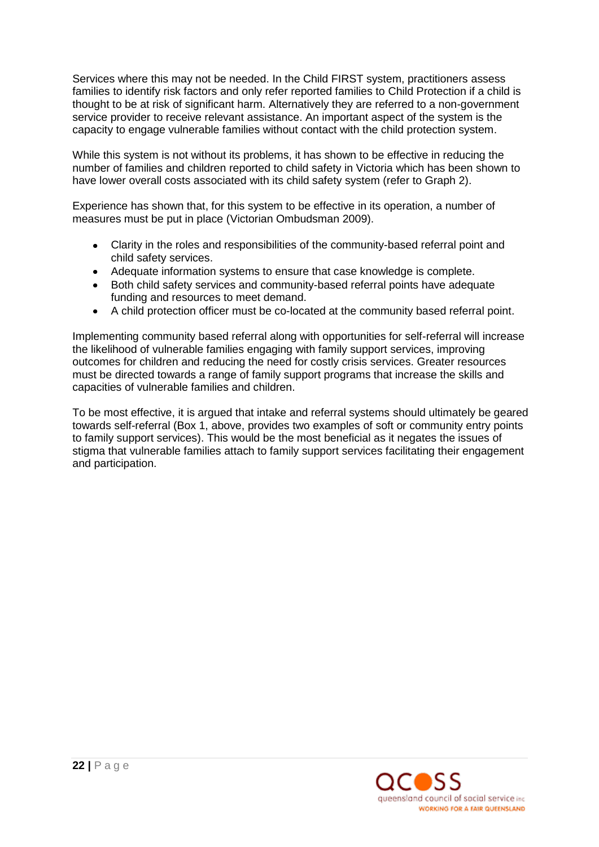Services where this may not be needed. In the Child FIRST system, practitioners assess families to identify risk factors and only refer reported families to Child Protection if a child is thought to be at risk of significant harm. Alternatively they are referred to a non-government service provider to receive relevant assistance. An important aspect of the system is the capacity to engage vulnerable families without contact with the child protection system.

While this system is not without its problems, it has shown to be effective in reducing the number of families and children reported to child safety in Victoria which has been shown to have lower overall costs associated with its child safety system (refer to Graph 2).

Experience has shown that, for this system to be effective in its operation, a number of measures must be put in place (Victorian Ombudsman 2009).

- Clarity in the roles and responsibilities of the community-based referral point and child safety services.
- Adequate information systems to ensure that case knowledge is complete.
- Both child safety services and community-based referral points have adequate funding and resources to meet demand.
- A child protection officer must be co-located at the community based referral point.  $\bullet$

Implementing community based referral along with opportunities for self-referral will increase the likelihood of vulnerable families engaging with family support services, improving outcomes for children and reducing the need for costly crisis services. Greater resources must be directed towards a range of family support programs that increase the skills and capacities of vulnerable families and children.

To be most effective, it is argued that intake and referral systems should ultimately be geared towards self-referral (Box 1, above, provides two examples of soft or community entry points to family support services). This would be the most beneficial as it negates the issues of stigma that vulnerable families attach to family support services facilitating their engagement and participation.

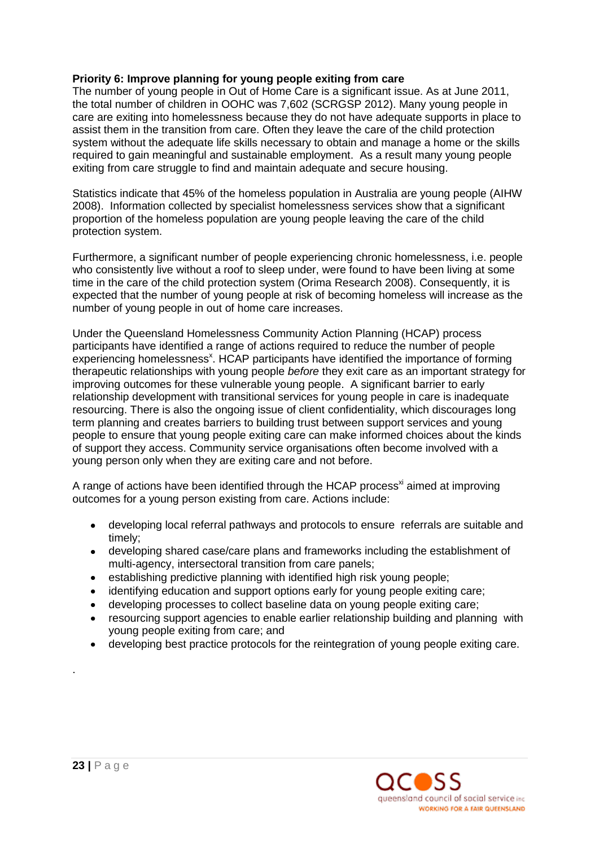# **Priority 6: Improve planning for young people exiting from care**

The number of young people in Out of Home Care is a significant issue. As at June 2011, the total number of children in OOHC was 7,602 (SCRGSP 2012). Many young people in care are exiting into homelessness because they do not have adequate supports in place to assist them in the transition from care. Often they leave the care of the child protection system without the adequate life skills necessary to obtain and manage a home or the skills required to gain meaningful and sustainable employment. As a result many young people exiting from care struggle to find and maintain adequate and secure housing.

Statistics indicate that 45% of the homeless population in Australia are young people (AIHW 2008). Information collected by specialist homelessness services show that a significant proportion of the homeless population are young people leaving the care of the child protection system.

Furthermore, a significant number of people experiencing chronic homelessness, i.e. people who consistently live without a roof to sleep under, were found to have been living at some time in the care of the child protection system (Orima Research 2008). Consequently, it is expected that the number of young people at risk of becoming homeless will increase as the number of young people in out of home care increases.

Under the Queensland Homelessness Community Action Planning (HCAP) process participants have identified a range of actions required to reduce the number of people experiencing homelessness<sup>x</sup>. HCAP participants have identified the importance of forming therapeutic relationships with young people *before* they exit care as an important strategy for improving outcomes for these vulnerable young people. A significant barrier to early relationship development with transitional services for young people in care is inadequate resourcing. There is also the ongoing issue of client confidentiality, which discourages long term planning and creates barriers to building trust between support services and young people to ensure that young people exiting care can make informed choices about the kinds of support they access. Community service organisations often become involved with a young person only when they are exiting care and not before.

A range of actions have been identified through the HCAP process<sup>xi</sup> aimed at improving outcomes for a young person existing from care. Actions include:

- developing local referral pathways and protocols to ensure referrals are suitable and  $\bullet$ timely;
- developing shared case/care plans and frameworks including the establishment of  $\bullet$ multi-agency, intersectoral transition from care panels;
- establishing predictive planning with identified high risk young people;  $\bullet$
- identifying education and support options early for young people exiting care;  $\bullet$
- developing processes to collect baseline data on young people exiting care;  $\bullet$
- resourcing support agencies to enable earlier relationship building and planning with young people exiting from care; and
- developing best practice protocols for the reintegration of young people exiting care.



.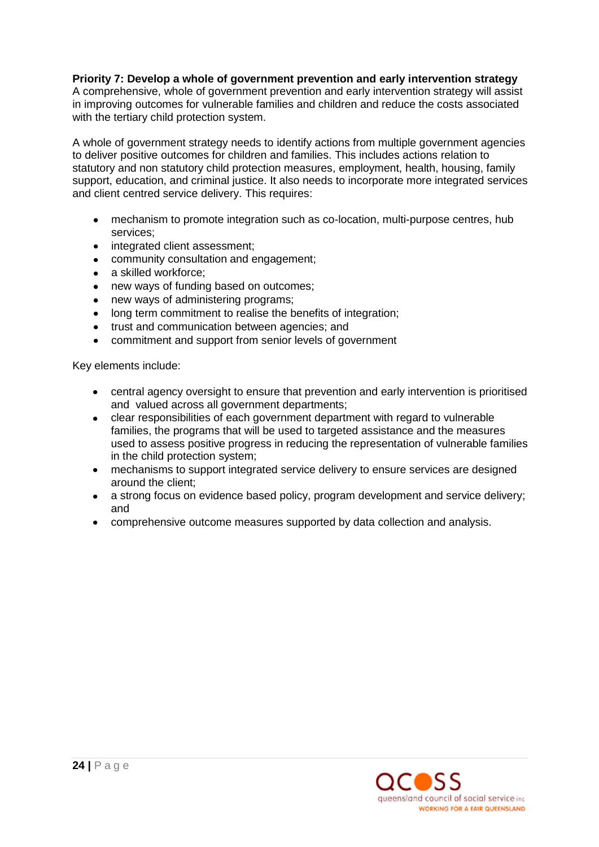# **Priority 7: Develop a whole of government prevention and early intervention strategy**

A comprehensive, whole of government prevention and early intervention strategy will assist in improving outcomes for vulnerable families and children and reduce the costs associated with the tertiary child protection system.

A whole of government strategy needs to identify actions from multiple government agencies to deliver positive outcomes for children and families. This includes actions relation to statutory and non statutory child protection measures, employment, health, housing, family support, education, and criminal justice. It also needs to incorporate more integrated services and client centred service delivery. This requires:

- mechanism to promote integration such as co-location, multi-purpose centres, hub services;
- $\bullet$ integrated client assessment;
- $\bullet$ community consultation and engagement;
- a skilled workforce;  $\bullet$
- new ways of funding based on outcomes;
- new ways of administering programs;  $\bullet$
- long term commitment to realise the benefits of integration;
- trust and communication between agencies; and
- commitment and support from senior levels of government  $\bullet$

Key elements include:

- central agency oversight to ensure that prevention and early intervention is prioritised and valued across all government departments;
- clear responsibilities of each government department with regard to vulnerable families, the programs that will be used to targeted assistance and the measures used to assess positive progress in reducing the representation of vulnerable families in the child protection system;
- mechanisms to support integrated service delivery to ensure services are designed around the client;
- a strong focus on evidence based policy, program development and service delivery;  $\bullet$ and
- comprehensive outcome measures supported by data collection and analysis.

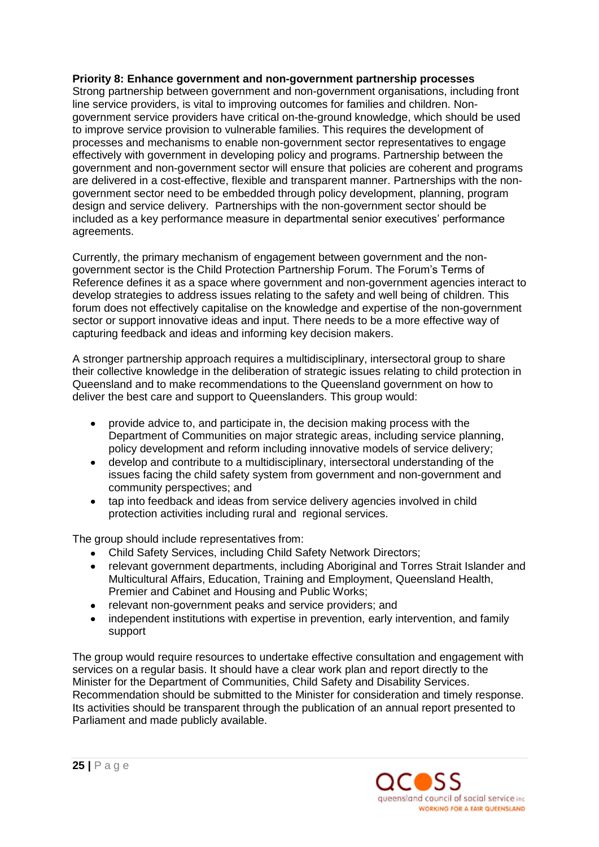# **Priority 8: Enhance government and non-government partnership processes**

Strong partnership between government and non-government organisations, including front line service providers, is vital to improving outcomes for families and children. Nongovernment service providers have critical on-the-ground knowledge, which should be used to improve service provision to vulnerable families. This requires the development of processes and mechanisms to enable non-government sector representatives to engage effectively with government in developing policy and programs. Partnership between the government and non-government sector will ensure that policies are coherent and programs are delivered in a cost-effective, flexible and transparent manner. Partnerships with the nongovernment sector need to be embedded through policy development, planning, program design and service delivery. Partnerships with the non-government sector should be included as a key performance measure in departmental senior executives" performance agreements.

Currently, the primary mechanism of engagement between government and the nongovernment sector is the Child Protection Partnership Forum. The Forum"s Terms of Reference defines it as a space where government and non-government agencies interact to develop strategies to address issues relating to the safety and well being of children. This forum does not effectively capitalise on the knowledge and expertise of the non-government sector or support innovative ideas and input. There needs to be a more effective way of capturing feedback and ideas and informing key decision makers.

A stronger partnership approach requires a multidisciplinary, intersectoral group to share their collective knowledge in the deliberation of strategic issues relating to child protection in Queensland and to make recommendations to the Queensland government on how to deliver the best care and support to Queenslanders. This group would:

- $\bullet$ provide advice to, and participate in, the decision making process with the Department of Communities on major strategic areas, including service planning, policy development and reform including innovative models of service delivery;
- develop and contribute to a multidisciplinary, intersectoral understanding of the issues facing the child safety system from government and non-government and community perspectives; and
- $\bullet$ tap into feedback and ideas from service delivery agencies involved in child protection activities including rural and regional services.

The group should include representatives from:

- Child Safety Services, including Child Safety Network Directors;  $\bullet$
- relevant government departments, including Aboriginal and Torres Strait Islander and  $\bullet$ Multicultural Affairs, Education, Training and Employment, Queensland Health, Premier and Cabinet and Housing and Public Works;
- relevant non-government peaks and service providers; and  $\bullet$
- independent institutions with expertise in prevention, early intervention, and family support

The group would require resources to undertake effective consultation and engagement with services on a regular basis. It should have a clear work plan and report directly to the Minister for the Department of Communities, Child Safety and Disability Services. Recommendation should be submitted to the Minister for consideration and timely response. Its activities should be transparent through the publication of an annual report presented to Parliament and made publicly available.

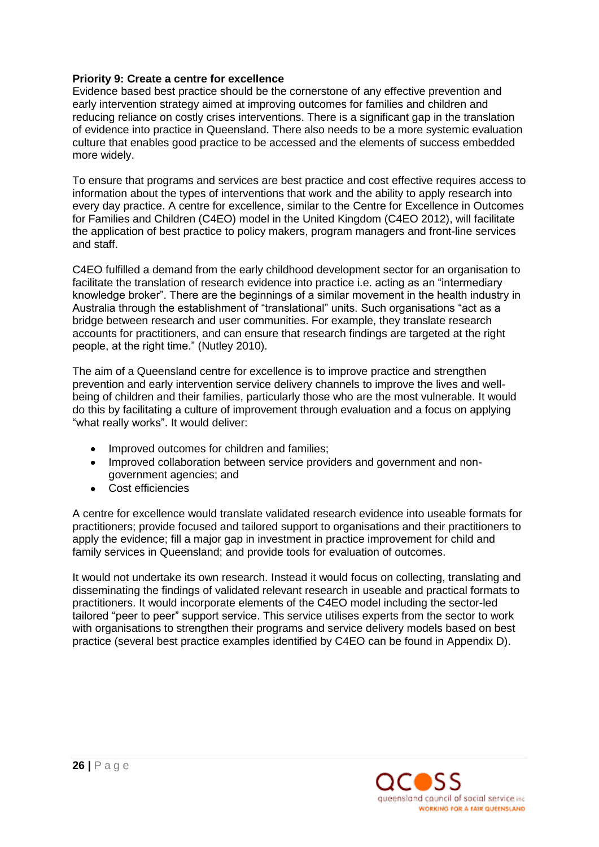# **Priority 9: Create a centre for excellence**

Evidence based best practice should be the cornerstone of any effective prevention and early intervention strategy aimed at improving outcomes for families and children and reducing reliance on costly crises interventions. There is a significant gap in the translation of evidence into practice in Queensland. There also needs to be a more systemic evaluation culture that enables good practice to be accessed and the elements of success embedded more widely.

To ensure that programs and services are best practice and cost effective requires access to information about the types of interventions that work and the ability to apply research into every day practice. A centre for excellence, similar to the Centre for Excellence in Outcomes for Families and Children (C4EO) model in the United Kingdom (C4EO 2012), will facilitate the application of best practice to policy makers, program managers and front-line services and staff.

C4EO fulfilled a demand from the early childhood development sector for an organisation to facilitate the translation of research evidence into practice i.e. acting as an "intermediary knowledge broker". There are the beginnings of a similar movement in the health industry in Australia through the establishment of "translational" units. Such organisations "act as a bridge between research and user communities. For example, they translate research accounts for practitioners, and can ensure that research findings are targeted at the right people, at the right time." (Nutley 2010).

The aim of a Queensland centre for excellence is to improve practice and strengthen prevention and early intervention service delivery channels to improve the lives and wellbeing of children and their families, particularly those who are the most vulnerable. It would do this by facilitating a culture of improvement through evaluation and a focus on applying "what really works". It would deliver:

- Improved outcomes for children and families;
- Improved collaboration between service providers and government and nongovernment agencies; and
- Cost efficiencies

A centre for excellence would translate validated research evidence into useable formats for practitioners; provide focused and tailored support to organisations and their practitioners to apply the evidence; fill a major gap in investment in practice improvement for child and family services in Queensland; and provide tools for evaluation of outcomes.

It would not undertake its own research. Instead it would focus on collecting, translating and disseminating the findings of validated relevant research in useable and practical formats to practitioners. It would incorporate elements of the C4EO model including the sector-led tailored "peer to peer" support service. This service utilises experts from the sector to work with organisations to strengthen their programs and service delivery models based on best practice (several best practice examples identified by C4EO can be found in Appendix D).

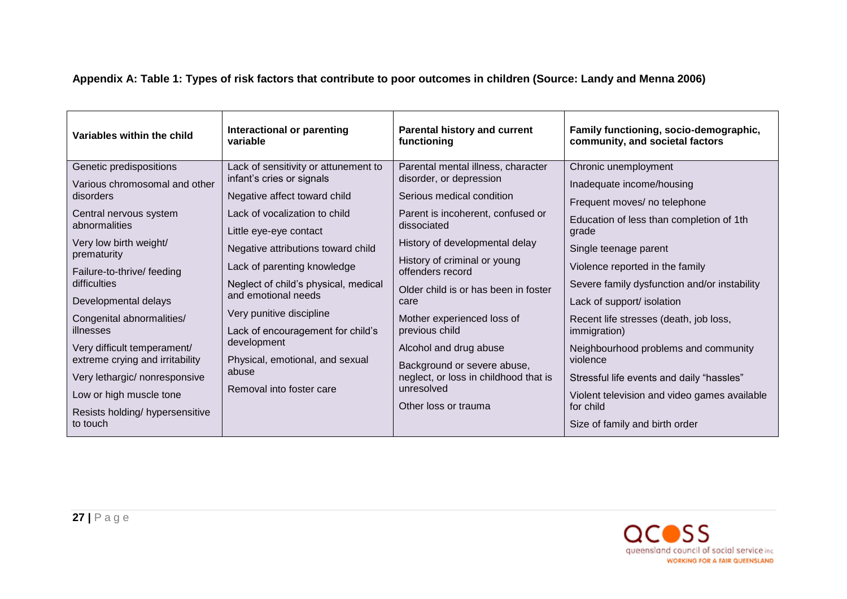| Variables within the child                 | Interactional or parenting<br>variable                            | <b>Parental history and current</b><br>functioning            | Family functioning, socio-demographic,<br>community, and societal factors |
|--------------------------------------------|-------------------------------------------------------------------|---------------------------------------------------------------|---------------------------------------------------------------------------|
| Genetic predispositions                    | Lack of sensitivity or attunement to<br>infant's cries or signals | Parental mental illness, character<br>disorder, or depression | Chronic unemployment                                                      |
| Various chromosomal and other<br>disorders | Negative affect toward child                                      | Serious medical condition                                     | Inadequate income/housing                                                 |
|                                            |                                                                   |                                                               | Frequent moves/ no telephone                                              |
| Central nervous system<br>abnormalities    | Lack of vocalization to child<br>Little eye-eye contact           | Parent is incoherent, confused or<br>dissociated              | Education of less than completion of 1th<br>grade                         |
| Very low birth weight/<br>prematurity      | Negative attributions toward child                                | History of developmental delay                                | Single teenage parent                                                     |
| Failure-to-thrive/ feeding                 | Lack of parenting knowledge                                       | History of criminal or young<br>offenders record              | Violence reported in the family                                           |
| difficulties                               | Neglect of child's physical, medical<br>and emotional needs       | Older child is or has been in foster                          | Severe family dysfunction and/or instability                              |
| Developmental delays                       |                                                                   | care                                                          | Lack of support/ isolation                                                |
| Congenital abnormalities/                  | Very punitive discipline                                          | Mother experienced loss of                                    | Recent life stresses (death, job loss,                                    |
| illnesses                                  | Lack of encouragement for child's                                 | previous child                                                | immigration)                                                              |
| Very difficult temperament/                | development                                                       | Alcohol and drug abuse                                        | Neighbourhood problems and community                                      |
| extreme crying and irritability            | Physical, emotional, and sexual<br>abuse                          | Background or severe abuse,                                   | violence                                                                  |
| Very lethargic/ nonresponsive              | Removal into foster care                                          | neglect, or loss in childhood that is<br>unresolved           | Stressful life events and daily "hassles"                                 |
| Low or high muscle tone                    |                                                                   |                                                               | Violent television and video games available                              |
| Resists holding/ hypersensitive            |                                                                   | Other loss or trauma                                          | for child                                                                 |
| to touch                                   |                                                                   |                                                               | Size of family and birth order                                            |

# **Appendix A: Table 1: Types of risk factors that contribute to poor outcomes in children (Source: Landy and Menna 2006)**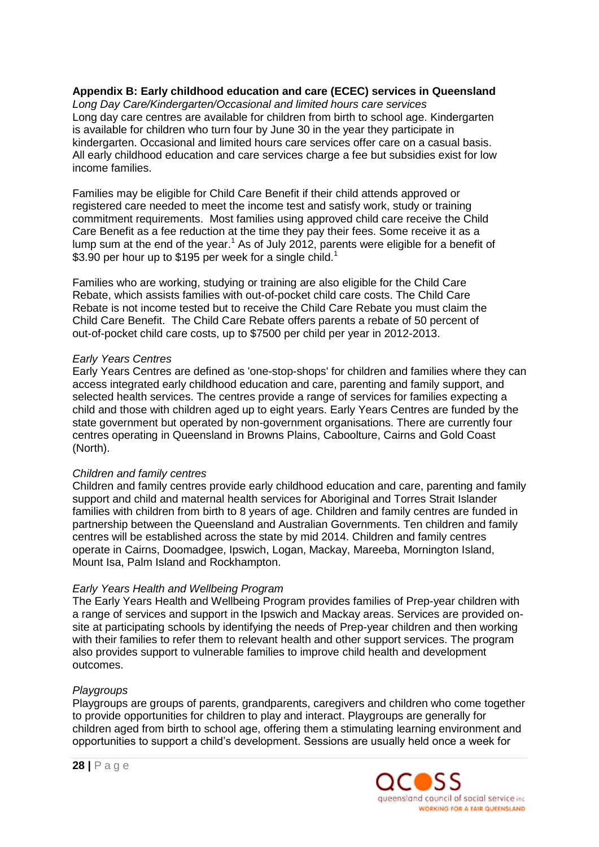## **Appendix B: Early childhood education and care (ECEC) services in Queensland**

*Long Day Care/Kindergarten/Occasional and limited hours care services* Long day care centres are available for children from birth to school age. Kindergarten is available for children who turn four by June 30 in the year they participate in kindergarten. Occasional and limited hours care services offer care on a casual basis. All early childhood education and care services charge a fee but subsidies exist for low income families.

Families may be eligible for Child Care Benefit if their child attends approved or registered care needed to meet the income test and satisfy work, study or training commitment requirements. Most families using approved child care receive the Child Care Benefit as a fee reduction at the time they pay their fees. Some receive it as a lump sum at the end of the year.<sup>1</sup> As of July 2012, parents were eligible for a benefit of \$3.90 per hour up to \$195 per week for a single child.<sup>1</sup>

Families who are working, studying or training are also eligible for the Child Care Rebate, which assists families with out-of-pocket child care costs. The Child Care Rebate is not income tested but to receive the Child Care Rebate you must claim the Child Care Benefit. The Child Care Rebate offers parents a rebate of 50 percent of out-of-pocket child care costs, up to \$7500 per child per year in 2012-2013.

## *Early Years Centres*

Early Years Centres are defined as 'one-stop-shops' for children and families where they can access integrated early childhood education and care, parenting and family support, and selected health services. The centres provide a range of services for families expecting a child and those with children aged up to eight years. Early Years Centres are funded by the state government but operated by non-government organisations. There are currently four centres operating in Queensland in Browns Plains, Caboolture, Cairns and Gold Coast (North).

# *Children and family centres*

Children and family centres provide early childhood education and care, parenting and family support and child and maternal health services for Aboriginal and Torres Strait Islander families with children from birth to 8 years of age. Children and family centres are funded in partnership between the Queensland and Australian Governments. Ten children and family centres will be established across the state by mid 2014. Children and family centres operate in Cairns, Doomadgee, Ipswich, Logan, Mackay, Mareeba, Mornington Island, Mount Isa, Palm Island and Rockhampton.

#### *Early Years Health and Wellbeing Program*

The Early Years Health and Wellbeing Program provides families of Prep-year children with a range of services and support in the Ipswich and Mackay areas. Services are provided onsite at participating schools by identifying the needs of Prep-year children and then working with their families to refer them to relevant health and other support services. The program also provides support to vulnerable families to improve child health and development outcomes.

# *Playgroups*

Playgroups are groups of parents, grandparents, caregivers and children who come together to provide opportunities for children to play and interact. Playgroups are generally for children aged from birth to school age, offering them a stimulating learning environment and opportunities to support a child"s development. Sessions are usually held once a week for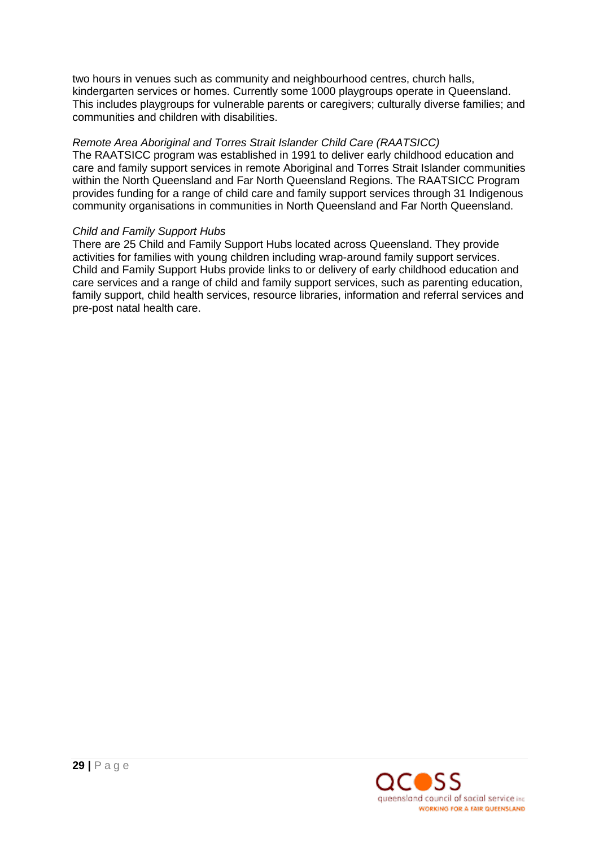two hours in venues such as community and neighbourhood centres, church halls, kindergarten services or homes. Currently some 1000 playgroups operate in Queensland. This includes playgroups for vulnerable parents or caregivers; culturally diverse families; and communities and children with disabilities.

# *Remote Area Aboriginal and Torres Strait Islander Child Care (RAATSICC)*

The RAATSICC program was established in 1991 to deliver early childhood education and care and family support services in remote Aboriginal and Torres Strait Islander communities within the North Queensland and Far North Queensland Regions. The RAATSICC Program provides funding for a range of child care and family support services through 31 Indigenous community organisations in communities in North Queensland and Far North Queensland.

# *Child and Family Support Hubs*

There are 25 Child and Family Support Hubs located across Queensland. They provide activities for families with young children including wrap-around family support services. Child and Family Support Hubs provide links to or delivery of early childhood education and care services and a range of child and family support services, such as parenting education, family support, child health services, resource libraries, information and referral services and pre-post natal health care.

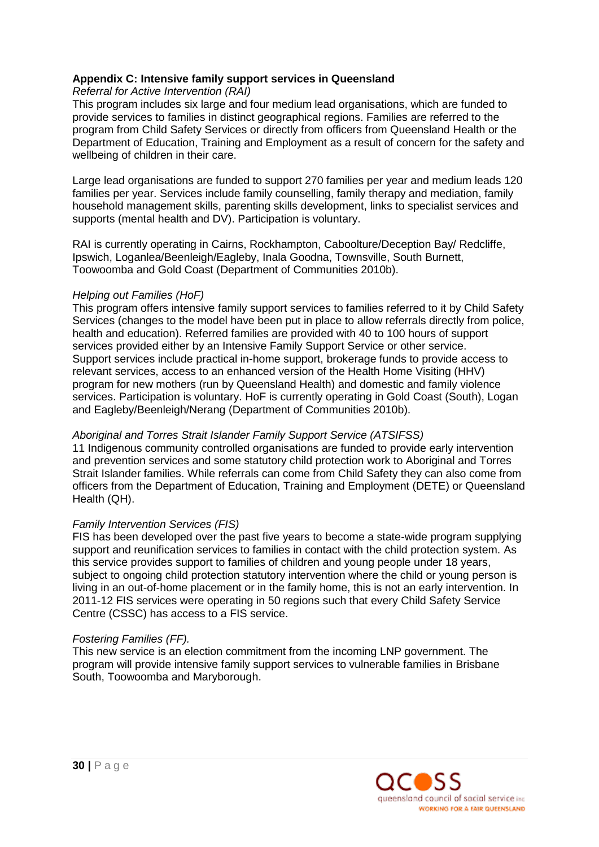# **Appendix C: Intensive family support services in Queensland**

*Referral for Active Intervention (RAI)*

This program includes six large and four medium lead organisations, which are funded to provide services to families in distinct geographical regions. Families are referred to the program from Child Safety Services or directly from officers from Queensland Health or the Department of Education, Training and Employment as a result of concern for the safety and wellbeing of children in their care.

Large lead organisations are funded to support 270 families per year and medium leads 120 families per year. Services include family counselling, family therapy and mediation, family household management skills, parenting skills development, links to specialist services and supports (mental health and DV). Participation is voluntary.

RAI is currently operating in Cairns, Rockhampton, Caboolture/Deception Bay/ Redcliffe, Ipswich, Loganlea/Beenleigh/Eagleby, Inala Goodna, Townsville, South Burnett, Toowoomba and Gold Coast (Department of Communities 2010b).

# *Helping out Families (HoF)*

This program offers intensive family support services to families referred to it by Child Safety Services (changes to the model have been put in place to allow referrals directly from police, health and education). Referred families are provided with 40 to 100 hours of support services provided either by an Intensive Family Support Service or other service. Support services include practical in-home support, brokerage funds to provide access to relevant services, access to an enhanced version of the Health Home Visiting (HHV) program for new mothers (run by Queensland Health) and domestic and family violence services. Participation is voluntary. HoF is currently operating in Gold Coast (South), Logan and Eagleby/Beenleigh/Nerang (Department of Communities 2010b).

# *Aboriginal and Torres Strait Islander Family Support Service (ATSIFSS)*

11 Indigenous community controlled organisations are funded to provide early intervention and prevention services and some statutory child protection work to Aboriginal and Torres Strait Islander families. While referrals can come from Child Safety they can also come from officers from the Department of Education, Training and Employment (DETE) or Queensland Health (QH).

# *Family Intervention Services (FIS)*

FIS has been developed over the past five years to become a state-wide program supplying support and reunification services to families in contact with the child protection system. As this service provides support to families of children and young people under 18 years, subject to ongoing child protection statutory intervention where the child or young person is living in an out-of-home placement or in the family home, this is not an early intervention. In 2011-12 FIS services were operating in 50 regions such that every Child Safety Service Centre (CSSC) has access to a FIS service.

# *Fostering Families (FF).*

This new service is an election commitment from the incoming LNP government. The program will provide intensive family support services to vulnerable families in Brisbane South, Toowoomba and Maryborough.

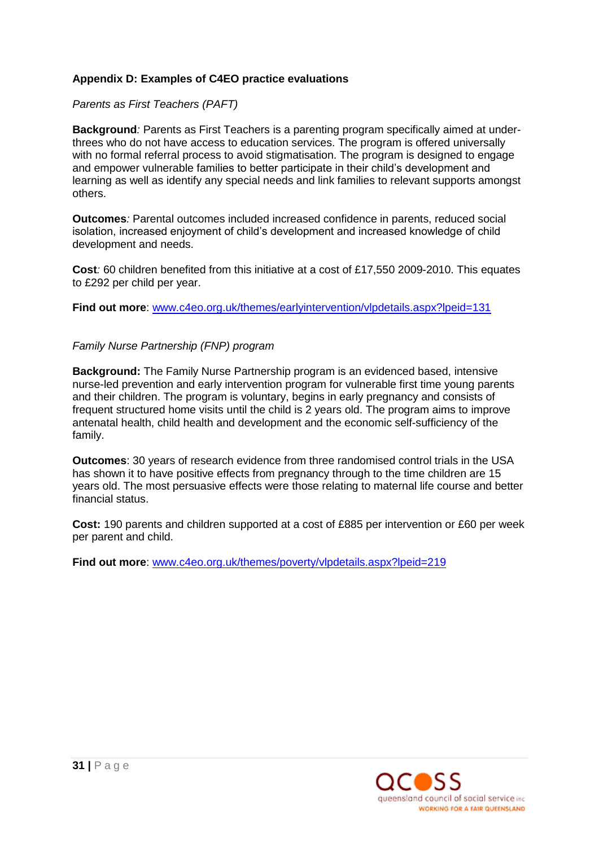# **Appendix D: Examples of C4EO practice evaluations**

*Parents as First Teachers (PAFT)*

**Background***:* Parents as First Teachers is a parenting program specifically aimed at underthrees who do not have access to education services. The program is offered universally with no formal referral process to avoid stigmatisation. The program is designed to engage and empower vulnerable families to better participate in their child"s development and learning as well as identify any special needs and link families to relevant supports amongst others.

**Outcomes***:* Parental outcomes included increased confidence in parents, reduced social isolation, increased enjoyment of child"s development and increased knowledge of child development and needs.

**Cost***:* 60 children benefited from this initiative at a cost of £17,550 2009-2010. This equates to £292 per child per year.

**Find out more**: [www.c4eo.org.uk/themes/earlyintervention/vlpdetails.aspx?lpeid=131](http://www.c4eo.org.uk/themes/earlyintervention/vlpdetails.aspx?lpeid=131)

## *Family Nurse Partnership (FNP) program*

**Background:** The Family Nurse Partnership program is an evidenced based, intensive nurse-led prevention and early intervention program for vulnerable first time young parents and their children. The program is voluntary, begins in early pregnancy and consists of frequent structured home visits until the child is 2 years old. The program aims to improve antenatal health, child health and development and the economic self-sufficiency of the family.

**Outcomes**: 30 years of research evidence from three randomised control trials in the USA has shown it to have positive effects from pregnancy through to the time children are 15 years old. The most persuasive effects were those relating to maternal life course and better financial status.

**Cost:** 190 parents and children supported at a cost of £885 per intervention or £60 per week per parent and child.

**Find out more**: [www.c4eo.org.uk/themes/poverty/vlpdetails.aspx?lpeid=219](http://www.c4eo.org.uk/themes/poverty/vlpdetails.aspx?lpeid=219)

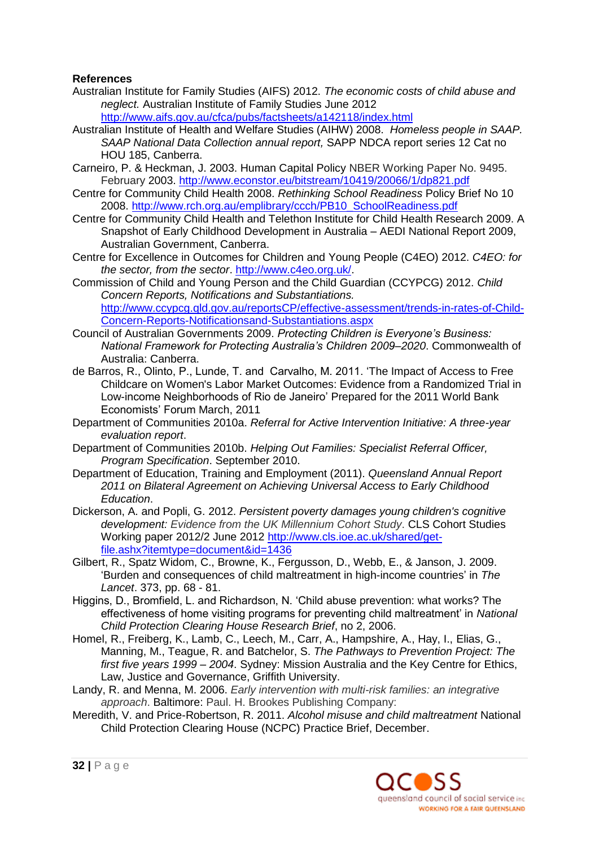# **References**

- Australian Institute for Family Studies (AIFS) 2012. *The economic costs of child abuse and neglect.* Australian Institute of Family Studies June 2012 <http://www.aifs.gov.au/cfca/pubs/factsheets/a142118/index.html>
- Australian Institute of Health and Welfare Studies (AIHW) 2008. *Homeless people in SAAP. SAAP National Data Collection annual report,* SAPP NDCA report series 12 Cat no HOU 185, Canberra.
- Carneiro, P. & Heckman, J. 2003. Human Capital Policy NBER Working Paper No. 9495. February 2003. <http://www.econstor.eu/bitstream/10419/20066/1/dp821.pdf>
- Centre for Community Child Health 2008. *Rethinking School Readiness* Policy Brief No 10 2008. [http://www.rch.org.au/emplibrary/ccch/PB10\\_SchoolReadiness.pdf](http://www.rch.org.au/emplibrary/ccch/PB10_SchoolReadiness.pdf)
- Centre for Community Child Health and Telethon Institute for Child Health Research 2009. A Snapshot of Early Childhood Development in Australia – AEDI National Report 2009, Australian Government, Canberra.
- Centre for Excellence in Outcomes for Children and Young People (C4EO) 2012. *C4EO: for the sector, from the sector*. [http://www.c4eo.org.uk/.](http://www.c4eo.org.uk/)
- Commission of Child and Young Person and the Child Guardian (CCYPCG) 2012. *Child Concern Reports, Notifications and Substantiations.*  [http://www.ccypcg.qld.gov.au/reportsCP/effective-assessment/trends-in-rates-of-Child-](http://www.ccypcg.qld.gov.au/reportsCP/effective-assessment/trends-in-rates-of-Child-Concern-Reports-Notificationsand-Substantiations.aspx)[Concern-Reports-Notificationsand-Substantiations.aspx](http://www.ccypcg.qld.gov.au/reportsCP/effective-assessment/trends-in-rates-of-Child-Concern-Reports-Notificationsand-Substantiations.aspx)
- Council of Australian Governments 2009. *Protecting Children is Everyone's Business: National Framework for Protecting Australia's Children 2009–2020*. Commonwealth of Australia: Canberra.
- de Barros, R., Olinto, P., Lunde, T. and Carvalho, M. 2011. "The Impact of Access to Free Childcare on Women's Labor Market Outcomes: Evidence from a Randomized Trial in Low-income Neighborhoods of Rio de Janeiro" Prepared for the 2011 World Bank Economists" Forum March, 2011
- Department of Communities 2010a. *Referral for Active Intervention Initiative: A three-year evaluation report*.
- Department of Communities 2010b. *Helping Out Families: Specialist Referral Officer, Program Specification*. September 2010.
- Department of Education, Training and Employment (2011). *Queensland Annual Report 2011 on Bilateral Agreement on Achieving Universal Access to Early Childhood Education*.
- Dickerson, A. and Popli, G. 2012. *Persistent poverty damages young children's cognitive development: Evidence from the UK Millennium Cohort Study*. CLS Cohort Studies Working paper 2012/2 June 2012 [http://www.cls.ioe.ac.uk/shared/get](http://www.cls.ioe.ac.uk/shared/get-file.ashx?itemtype=document&id=1436)[file.ashx?itemtype=document&id=1436](http://www.cls.ioe.ac.uk/shared/get-file.ashx?itemtype=document&id=1436)
- Gilbert, R., Spatz Widom, C., Browne, K., Fergusson, D., Webb, E., & Janson, J. 2009. "Burden and consequences of child maltreatment in high-income countries" in *The Lancet*. 373, pp. 68 - 81.
- Higgins, D., Bromfield, L. and Richardson, N. "Child abuse prevention: what works? The effectiveness of home visiting programs for preventing child maltreatment" in *National Child Protection Clearing House Research Brief*, no 2, 2006.
- Homel, R., Freiberg, K., Lamb, C., Leech, M., Carr, A., Hampshire, A., Hay, I., Elias, G., Manning, M., Teague, R. and Batchelor, S. *The Pathways to Prevention Project: The first five years 1999 – 2004*. Sydney: Mission Australia and the Key Centre for Ethics, Law, Justice and Governance, Griffith University.
- Landy, R. and Menna, M. 2006. *Early intervention with multi-risk families: an integrative approach*. Baltimore: Paul. H. Brookes Publishing Company:
- Meredith, V. and Price-Robertson, R. 2011. *Alcohol misuse and child maltreatment* National Child Protection Clearing House (NCPC) Practice Brief, December.

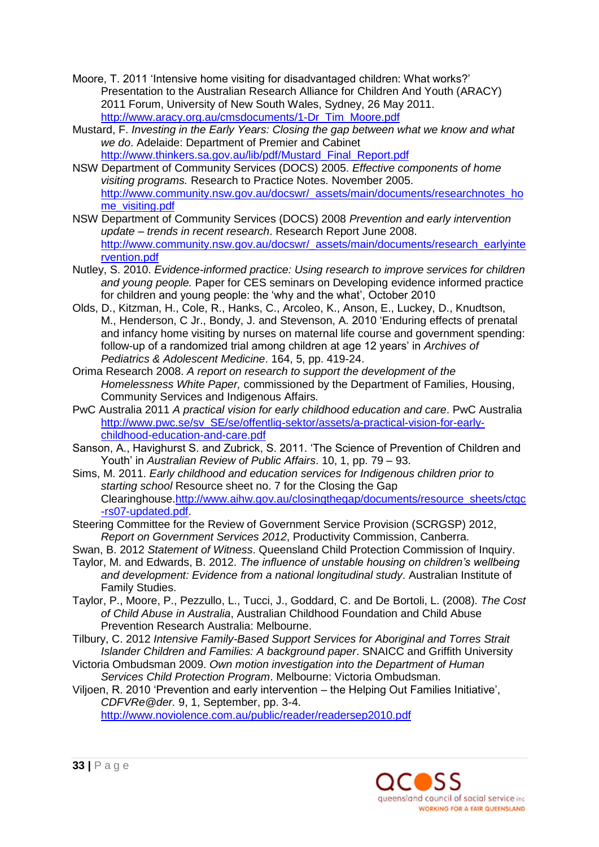- Moore, T. 2011 "Intensive home visiting for disadvantaged children: What works?" Presentation to the Australian Research Alliance for Children And Youth (ARACY) 2011 Forum, University of New South Wales, Sydney, 26 May 2011. [http://www.aracy.org.au/cmsdocuments/1-Dr\\_Tim\\_Moore.pdf](http://www.aracy.org.au/cmsdocuments/1-Dr_Tim_Moore.pdf)
- Mustard, F. *Investing in the Early Years: Closing the gap between what we know and what we do*. Adelaide: Department of Premier and Cabinet [http://www.thinkers.sa.gov.au/lib/pdf/Mustard\\_Final\\_Report.pdf](http://www.thinkers.sa.gov.au/lib/pdf/Mustard_Final_Report.pdf)
- NSW Department of Community Services (DOCS) 2005. *Effective components of home visiting programs.* Research to Practice Notes. November 2005. [http://www.community.nsw.gov.au/docswr/\\_assets/main/documents/researchnotes\\_ho](http://www.community.nsw.gov.au/docswr/_assets/main/documents/researchnotes_home_visiting.pdf) [me\\_visiting.pdf](http://www.community.nsw.gov.au/docswr/_assets/main/documents/researchnotes_home_visiting.pdf)
- NSW Department of Community Services (DOCS) 2008 *Prevention and early intervention update – trends in recent research*. Research Report June 2008. [http://www.community.nsw.gov.au/docswr/\\_assets/main/documents/research\\_earlyinte](http://www.community.nsw.gov.au/docswr/_assets/main/documents/research_earlyintervention.pdf) [rvention.pdf](http://www.community.nsw.gov.au/docswr/_assets/main/documents/research_earlyintervention.pdf)
- Nutley, S. 2010. *Evidence-informed practice: Using research to improve services for children and young people.* Paper for CES seminars on Developing evidence informed practice for children and young people: the "why and the what", October 2010
- Olds, D., Kitzman, H., Cole, R., Hanks, C., Arcoleo, K., Anson, E., Luckey, D., Knudtson, M., Henderson, C Jr., Bondy, J. and Stevenson, A. 2010 "Enduring effects of prenatal and infancy home visiting by nurses on maternal life course and government spending: follow-up of a randomized trial among children at age 12 years" in *Archives of Pediatrics & Adolescent Medicine*. 164, 5, pp. 419-24.
- Orima Research 2008. *A report on research to support the development of the Homelessness White Paper,* commissioned by the Department of Families, Housing, Community Services and Indigenous Affairs*.*
- PwC Australia 2011 *A practical vision for early childhood education and care*. PwC Australia [http://www.pwc.se/sv\\_SE/se/offentlig-sektor/assets/a-practical-vision-for-early](http://www.pwc.se/sv_SE/se/offentlig-sektor/assets/a-practical-vision-for-early-childhood-education-and-care.pdf)[childhood-education-and-care.pdf](http://www.pwc.se/sv_SE/se/offentlig-sektor/assets/a-practical-vision-for-early-childhood-education-and-care.pdf)
- Sanson, A., Havighurst S. and Zubrick, S. 2011. 'The Science of Prevention of Children and Youth" in *Australian Review of Public Affairs*. 10, 1, pp. 79 – 93.
- Sims, M. 2011. *Early childhood and education services for Indigenous children prior to starting school* Resource sheet no. 7 for the Closing the Gap Clearinghouse[.http://www.aihw.gov.au/closingthegap/documents/resource\\_sheets/ctgc](http://www.aihw.gov.au/closingthegap/documents/resource_sheets/ctgc-rs07-updated.pdf) [-rs07-updated.pdf.](http://www.aihw.gov.au/closingthegap/documents/resource_sheets/ctgc-rs07-updated.pdf)
- Steering Committee for the Review of Government Service Provision (SCRGSP) 2012, *Report on Government Services 2012*, Productivity Commission, Canberra.
- Swan, B. 2012 *Statement of Witness*. Queensland Child Protection Commission of Inquiry.
- Taylor, M. and Edwards, B. 2012. *The influence of unstable housing on children's wellbeing and development: Evidence from a national longitudinal study*. Australian Institute of Family Studies.
- Taylor, P., Moore, P., Pezzullo, L., Tucci, J., Goddard, C. and De Bortoli, L. (2008). *The Cost of Child Abuse in Australia*, Australian Childhood Foundation and Child Abuse Prevention Research Australia: Melbourne.
- Tilbury, C. 2012 *Intensive Family-Based Support Services for Aboriginal and Torres Strait Islander Children and Families: A background paper*. SNAICC and Griffith University
- Victoria Ombudsman 2009. *Own motion investigation into the Department of Human Services Child Protection Program*. Melbourne: Victoria Ombudsman.

Viljoen, R. 2010 "Prevention and early intervention – the Helping Out Families Initiative", *CDFVRe@der.* 9, 1, September, pp. 3-4.

<http://www.noviolence.com.au/public/reader/readersep2010.pdf>

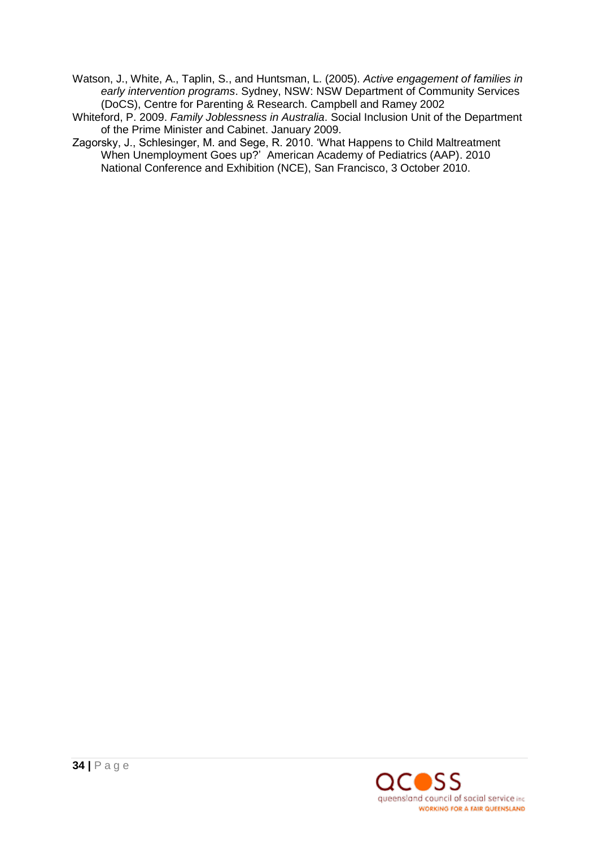Watson, J., White, A., Taplin, S., and Huntsman, L. (2005). *Active engagement of families in early intervention programs*. Sydney, NSW: NSW Department of Community Services (DoCS), Centre for Parenting & Research. Campbell and Ramey 2002

Whiteford, P. 2009. *Family Joblessness in Australia*. Social Inclusion Unit of the Department of the Prime Minister and Cabinet. January 2009.

Zagorsky, J., Schlesinger, M. and Sege, R. 2010. "What Happens to Child Maltreatment When Unemployment Goes up?" [American Academy of Pediatrics \(AAP\).](http://www.aap.org/) 2010 National Conference and Exhibition (NCE), San Francisco, 3 October 2010.